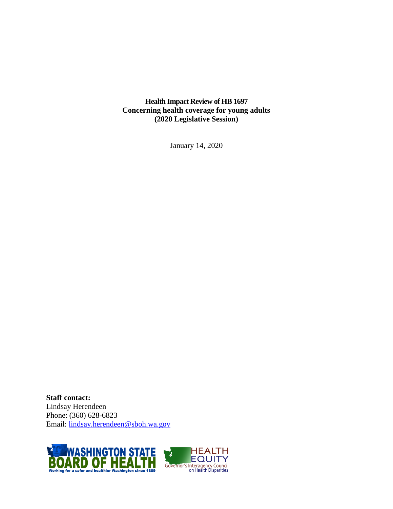**Health Impact Review of HB 1697 Concerning health coverage for young adults (2020 Legislative Session)**

January 14, 2020

**Staff contact:** Lindsay Herendeen Phone: (360) 628-6823 Email: [lindsay.herendeen@sboh.wa.gov](mailto:lindsay.herendeen@sboh.wa.gov)



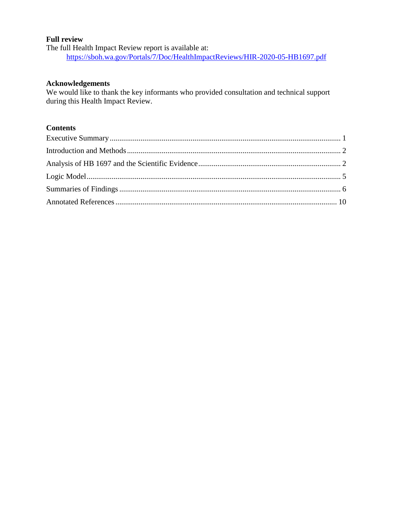### **Full review**

The full Health Impact Review report is available at: <https://sboh.wa.gov/Portals/7/Doc/HealthImpactReviews/HIR-2020-05-HB1697.pdf>

### **Acknowledgements**

We would like to thank the key informants who provided consultation and technical support during this Health Impact Review.

# **Contents**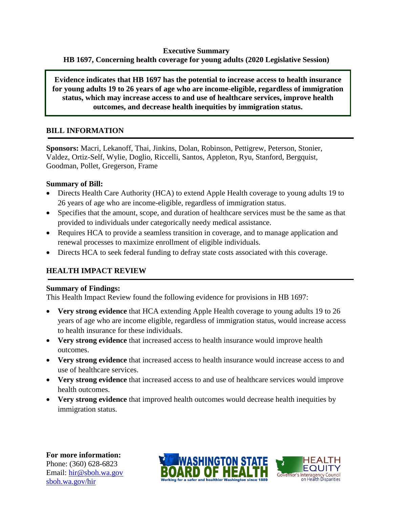### **Executive Summary HB 1697, Concerning health coverage for young adults (2020 Legislative Session)**

**Evidence indicates that HB 1697 has the potential to increase access to health insurance for young adults 19 to 26 years of age who are income-eligible, regardless of immigration status, which may increase access to and use of healthcare services, improve health outcomes, and decrease health inequities by immigration status.**

# **BILL INFORMATION**

**Sponsors:** Macri, Lekanoff, Thai, Jinkins, Dolan, Robinson, Pettigrew, Peterson, Stonier, Valdez, Ortiz-Self, Wylie, Doglio, Riccelli, Santos, Appleton, Ryu, Stanford, Bergquist, Goodman, Pollet, Gregerson, Frame

### **Summary of Bill:**

- Directs Health Care Authority (HCA) to extend Apple Health coverage to young adults 19 to 26 years of age who are income-eligible, regardless of immigration status.
- Specifies that the amount, scope, and duration of healthcare services must be the same as that provided to individuals under categorically needy medical assistance.
- Requires HCA to provide a seamless transition in coverage, and to manage application and renewal processes to maximize enrollment of eligible individuals.
- Directs HCA to seek federal funding to defray state costs associated with this coverage.

# **HEALTH IMPACT REVIEW**

#### **Summary of Findings:**

This Health Impact Review found the following evidence for provisions in HB 1697:

- **Very strong evidence** that HCA extending Apple Health coverage to young adults 19 to 26 years of age who are income eligible, regardless of immigration status, would increase access to health insurance for these individuals.
- **Very strong evidence** that increased access to health insurance would improve health outcomes.
- **Very strong evidence** that increased access to health insurance would increase access to and use of healthcare services.
- **Very strong evidence** that increased access to and use of healthcare services would improve health outcomes.
- **Very strong evidence** that improved health outcomes would decrease health inequities by immigration status.

**For more information:** Phone: (360) 628-6823 Email: [hir@sboh.wa.gov](mailto:hir@sboh.wa.gov) [sboh.wa.gov/](http://sboh.wa.gov/)hir



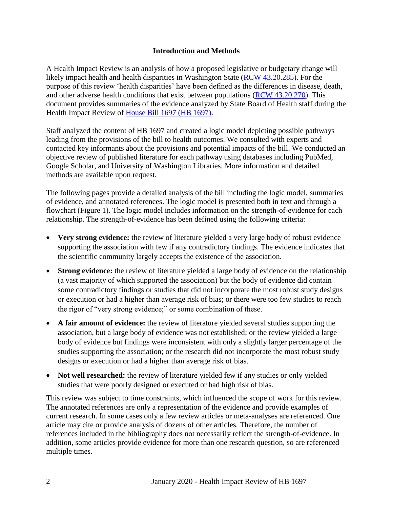### **Introduction and Methods**

<span id="page-3-0"></span>A Health Impact Review is an analysis of how a proposed legislative or budgetary change will likely impact health and health disparities in Washington State [\(RCW 43.20.285\)](http://apps.leg.wa.gov/rcw/default.aspx?cite=43.20.285). For the purpose of this review 'health disparities' have been defined as the differences in disease, death, and other adverse health conditions that exist between populations [\(RCW 43.20.270\)](http://apps.leg.wa.gov/rcw/default.aspx?cite=43.20.270). This document provides summaries of the evidence analyzed by State Board of Health staff during the Health Impact Review of [House Bill 1697 \(HB 1697\).](https://app.leg.wa.gov/billsummary?BillNumber=1697&Year=2019&Initiative=false)

Staff analyzed the content of HB 1697 and created a logic model depicting possible pathways leading from the provisions of the bill to health outcomes. We consulted with experts and contacted key informants about the provisions and potential impacts of the bill. We conducted an objective review of published literature for each pathway using databases including PubMed, Google Scholar, and University of Washington Libraries. More information and detailed methods are available upon request.

The following pages provide a detailed analysis of the bill including the logic model, summaries of evidence, and annotated references. The logic model is presented both in text and through a flowchart (Figure 1). The logic model includes information on the strength-of-evidence for each relationship. The strength-of-evidence has been defined using the following criteria:

- Very strong evidence: the review of literature yielded a very large body of robust evidence supporting the association with few if any contradictory findings. The evidence indicates that the scientific community largely accepts the existence of the association.
- **Strong evidence:** the review of literature yielded a large body of evidence on the relationship (a vast majority of which supported the association) but the body of evidence did contain some contradictory findings or studies that did not incorporate the most robust study designs or execution or had a higher than average risk of bias; or there were too few studies to reach the rigor of "very strong evidence;" or some combination of these.
- **A fair amount of evidence:** the review of literature yielded several studies supporting the association, but a large body of evidence was not established; or the review yielded a large body of evidence but findings were inconsistent with only a slightly larger percentage of the studies supporting the association; or the research did not incorporate the most robust study designs or execution or had a higher than average risk of bias.
- Not well researched: the review of literature yielded few if any studies or only yielded studies that were poorly designed or executed or had high risk of bias.

<span id="page-3-1"></span>This review was subject to time constraints, which influenced the scope of work for this review. The annotated references are only a representation of the evidence and provide examples of current research. In some cases only a few review articles or meta-analyses are referenced. One article may cite or provide analysis of dozens of other articles. Therefore, the number of references included in the bibliography does not necessarily reflect the strength-of-evidence. In addition, some articles provide evidence for more than one research question, so are referenced multiple times.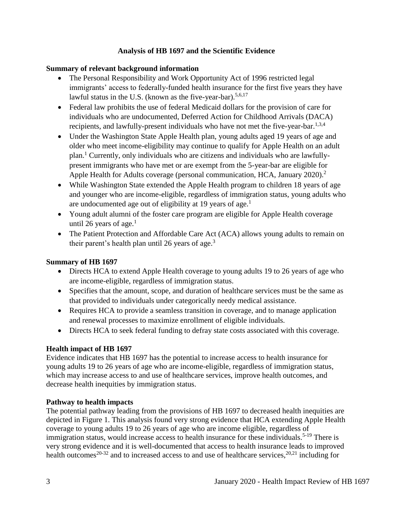# **Analysis of HB 1697 and the Scientific Evidence**

# **Summary of relevant background information**

- The Personal Responsibility and Work Opportunity Act of 1996 restricted legal immigrants' access to federally-funded health insurance for the first five years they have lawful status in the U.S. (known as the five-year-bar).<sup>5,6,17</sup>
- Federal law prohibits the use of federal Medicaid dollars for the provision of care for individuals who are undocumented, Deferred Action for Childhood Arrivals (DACA) recipients, and lawfully-present individuals who have not met the five-year-bar.<sup>1,3,4</sup>
- Under the Washington State Apple Health plan, young adults aged 19 years of age and older who meet income-eligibility may continue to qualify for Apple Health on an adult plan. <sup>1</sup> Currently, only individuals who are citizens and individuals who are lawfullypresent immigrants who have met or are exempt from the 5-year-bar are eligible for Apple Health for Adults coverage (personal communication, HCA, January 2020).<sup>2</sup>
- While Washington State extended the Apple Health program to children 18 years of age and younger who are income-eligible, regardless of immigration status, young adults who are undocumented age out of eligibility at 19 years of age.<sup>1</sup>
- Young adult alumni of the foster care program are eligible for Apple Health coverage until 26 years of age. $<sup>1</sup>$ </sup>
- The Patient Protection and Affordable Care Act (ACA) allows young adults to remain on their parent's health plan until 26 years of age.<sup>3</sup>

# **Summary of HB 1697**

- Directs HCA to extend Apple Health coverage to young adults 19 to 26 years of age who are income-eligible, regardless of immigration status.
- Specifies that the amount, scope, and duration of healthcare services must be the same as that provided to individuals under categorically needy medical assistance.
- Requires HCA to provide a seamless transition in coverage, and to manage application and renewal processes to maximize enrollment of eligible individuals.
- Directs HCA to seek federal funding to defray state costs associated with this coverage.

# **Health impact of HB 1697**

Evidence indicates that HB 1697 has the potential to increase access to health insurance for young adults 19 to 26 years of age who are income-eligible, regardless of immigration status, which may increase access to and use of healthcare services, improve health outcomes, and decrease health inequities by immigration status.

### **Pathway to health impacts**

The potential pathway leading from the provisions of HB 1697 to decreased health inequities are depicted in Figure 1. This analysis found very strong evidence that HCA extending Apple Health coverage to young adults 19 to 26 years of age who are income eligible, regardless of immigration status, would increase access to health insurance for these individuals.<sup>5-19</sup> There is very strong evidence and it is well-documented that access to health insurance leads to improved health outcomes<sup>20-32</sup> and to increased access to and use of healthcare services,  $20,21$  including for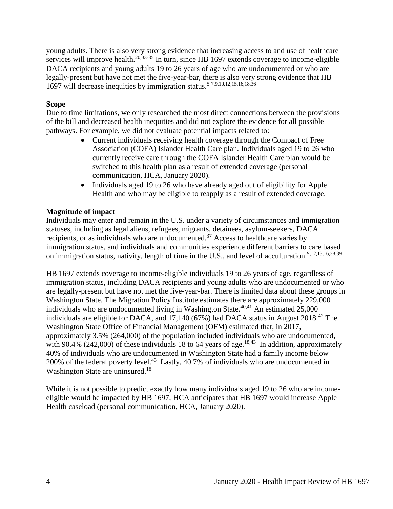young adults. There is also very strong evidence that increasing access to and use of healthcare services will improve health.<sup>20,33-35</sup> In turn, since HB 1697 extends coverage to income-eligible DACA recipients and young adults 19 to 26 years of age who are undocumented or who are legally-present but have not met the five-year-bar, there is also very strong evidence that HB 1697 will decrease inequities by immigration status.5-7,9,10,12,15,16,18,36

### **Scope**

Due to time limitations, we only researched the most direct connections between the provisions of the bill and decreased health inequities and did not explore the evidence for all possible pathways. For example, we did not evaluate potential impacts related to:

- Current individuals receiving health coverage through the Compact of Free Association (COFA) Islander Health Care plan. Individuals aged 19 to 26 who currently receive care through the COFA Islander Health Care plan would be switched to this health plan as a result of extended coverage (personal communication, HCA, January 2020).
- Individuals aged 19 to 26 who have already aged out of eligibility for Apple Health and who may be eligible to reapply as a result of extended coverage.

#### **Magnitude of impact**

Individuals may enter and remain in the U.S. under a variety of circumstances and immigration statuses, including as legal aliens, refugees, migrants, detainees, asylum-seekers, DACA recipients, or as individuals who are undocumented.<sup>37</sup> Access to healthcare varies by immigration status, and individuals and communities experience different barriers to care based on immigration status, nativity, length of time in the U.S., and level of acculturation.<sup>9,12,13,16,38,39</sup>

HB 1697 extends coverage to income-eligible individuals 19 to 26 years of age, regardless of immigration status, including DACA recipients and young adults who are undocumented or who are legally-present but have not met the five-year-bar. There is limited data about these groups in Washington State. The Migration Policy Institute estimates there are approximately 229,000 individuals who are undocumented living in Washington State.<sup>40,41</sup> An estimated  $25,000$ individuals are eligible for DACA, and  $17,140$  (67%) had DACA status in August 2018.<sup>42</sup> The Washington State Office of Financial Management (OFM) estimated that, in 2017, approximately 3.5% (264,000) of the population included individuals who are undocumented, with 90.4% (242,000) of these individuals 18 to 64 years of age.<sup>18,43</sup> In addition, approximately 40% of individuals who are undocumented in Washington State had a family income below 200% of the federal poverty level.<sup>43</sup> Lastly, 40.7% of individuals who are undocumented in Washington State are uninsured.<sup>18</sup>

While it is not possible to predict exactly how many individuals aged 19 to 26 who are incomeeligible would be impacted by HB 1697, HCA anticipates that HB 1697 would increase Apple Health caseload (personal communication, HCA, January 2020).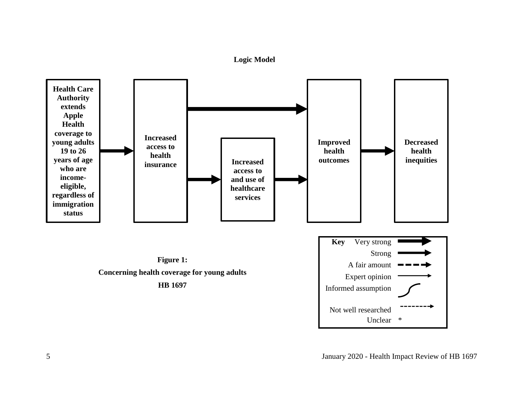**Logic Model**

<span id="page-6-0"></span>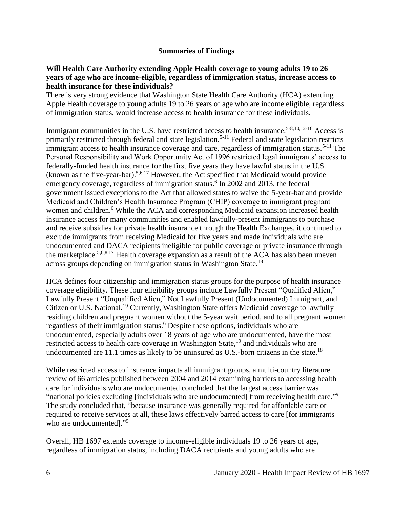### **Summaries of Findings**

#### <span id="page-7-0"></span>**Will Health Care Authority extending Apple Health coverage to young adults 19 to 26 years of age who are income-eligible, regardless of immigration status, increase access to health insurance for these individuals?**

There is very strong evidence that Washington State Health Care Authority (HCA) extending Apple Health coverage to young adults 19 to 26 years of age who are income eligible, regardless of immigration status, would increase access to health insurance for these individuals.

Immigrant communities in the U.S. have restricted access to health insurance.<sup>5-8,10,12-16</sup> Access is primarily restricted through federal and state legislation.<sup>5-11</sup> Federal and state legislation restricts immigrant access to health insurance coverage and care, regardless of immigration status.<sup>5-11</sup> The Personal Responsibility and Work Opportunity Act of 1996 restricted legal immigrants' access to federally-funded health insurance for the first five years they have lawful status in the U.S. (known as the five-year-bar).<sup>5,6,17</sup> However, the Act specified that Medicaid would provide emergency coverage, regardless of immigration status.<sup>6</sup> In 2002 and 2013, the federal government issued exceptions to the Act that allowed states to waive the 5-year-bar and provide Medicaid and Children's Health Insurance Program (CHIP) coverage to immigrant pregnant women and children.<sup>6</sup> While the ACA and corresponding Medicaid expansion increased health insurance access for many communities and enabled lawfully-present immigrants to purchase and receive subsidies for private health insurance through the Health Exchanges, it continued to exclude immigrants from receiving Medicaid for five years and made individuals who are undocumented and DACA recipients ineligible for public coverage or private insurance through the marketplace.<sup>5,6,8,17</sup> Health coverage expansion as a result of the ACA has also been uneven across groups depending on immigration status in Washington State.<sup>18</sup>

HCA defines four citizenship and immigration status groups for the purpose of health insurance coverage eligibility. These four eligibility groups include Lawfully Present "Qualified Alien," Lawfully Present "Unqualified Alien," Not Lawfully Present (Undocumented) Immigrant, and Citizen or U.S. National.<sup>19</sup> Currently, Washington State offers Medicaid coverage to lawfully residing children and pregnant women without the 5-year wait period, and to all pregnant women regardless of their immigration status.<sup>6</sup> Despite these options, individuals who are undocumented, especially adults over 18 years of age who are undocumented, have the most restricted access to health care coverage in Washington State,<sup>19</sup> and individuals who are undocumented are 11.1 times as likely to be uninsured as U.S.-born citizens in the state.<sup>18</sup>

While restricted access to insurance impacts all immigrant groups, a multi-country literature review of 66 articles published between 2004 and 2014 examining barriers to accessing health care for individuals who are undocumented concluded that the largest access barrier was "national policies excluding [individuals who are undocumented] from receiving health care."<sup>9</sup> The study concluded that, "because insurance was generally required for affordable care or required to receive services at all, these laws effectively barred access to care [for immigrants who are undocumented]."<sup>9</sup>

Overall, HB 1697 extends coverage to income-eligible individuals 19 to 26 years of age, regardless of immigration status, including DACA recipients and young adults who are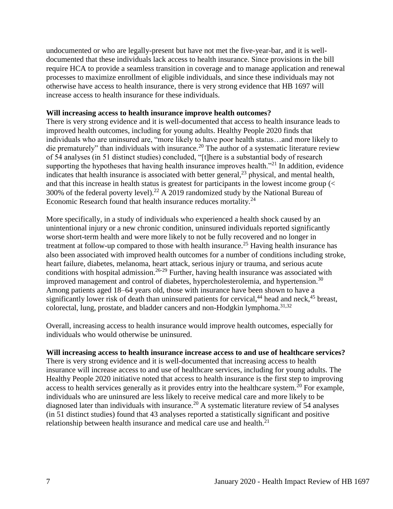undocumented or who are legally-present but have not met the five-year-bar, and it is welldocumented that these individuals lack access to health insurance. Since provisions in the bill require HCA to provide a seamless transition in coverage and to manage application and renewal processes to maximize enrollment of eligible individuals, and since these individuals may not otherwise have access to health insurance, there is very strong evidence that HB 1697 will increase access to health insurance for these individuals.

#### **Will increasing access to health insurance improve health outcomes?**

There is very strong evidence and it is well-documented that access to health insurance leads to improved health outcomes, including for young adults. Healthy People 2020 finds that individuals who are uninsured are, "more likely to have poor health status…and more likely to die prematurely" than individuals with insurance.<sup>20</sup> The author of a systematic literature review of 54 analyses (in 51 distinct studies) concluded, "[t]here is a substantial body of research supporting the hypotheses that having health insurance improves health. $"^{21}$  In addition, evidence indicates that health insurance is associated with better general,  $2<sup>3</sup>$  physical, and mental health, and that this increase in health status is greatest for participants in the lowest income group (< 300% of the federal poverty level).<sup>22</sup> A 2019 randomized study by the National Bureau of Economic Research found that health insurance reduces mortality.<sup>24</sup>

More specifically, in a study of individuals who experienced a health shock caused by an unintentional injury or a new chronic condition, uninsured individuals reported significantly worse short-term health and were more likely to not be fully recovered and no longer in treatment at follow-up compared to those with health insurance.<sup>25</sup> Having health insurance has also been associated with improved health outcomes for a number of conditions including stroke, heart failure, diabetes, melanoma, heart attack, serious injury or trauma, and serious acute conditions with hospital admission.<sup>26-29</sup> Further, having health insurance was associated with improved management and control of diabetes, hypercholesterolemia, and hypertension.<sup>30</sup> Among patients aged 18–64 years old, those with insurance have been shown to have a significantly lower risk of death than uninsured patients for cervical,<sup>44</sup> head and neck,<sup>45</sup> breast, colorectal, lung, prostate, and bladder cancers and non-Hodgkin lymphoma.<sup>31,32</sup>

Overall, increasing access to health insurance would improve health outcomes, especially for individuals who would otherwise be uninsured.

#### **Will increasing access to health insurance increase access to and use of healthcare services?**

There is very strong evidence and it is well-documented that increasing access to health insurance will increase access to and use of healthcare services, including for young adults. The Healthy People 2020 initiative noted that access to health insurance is the first step to improving access to health services generally as it provides entry into the healthcare system.<sup>20</sup> For example, individuals who are uninsured are less likely to receive medical care and more likely to be diagnosed later than individuals with insurance.<sup>20</sup> A systematic literature review of 54 analyses (in 51 distinct studies) found that 43 analyses reported a statistically significant and positive relationship between health insurance and medical care use and health.<sup>21</sup>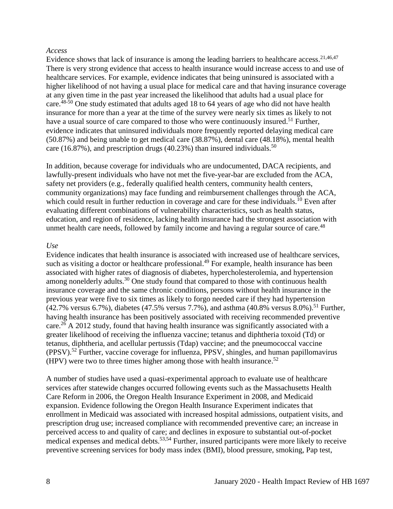#### *Access*

Evidence shows that lack of insurance is among the leading barriers to healthcare access.<sup>21,46,47</sup> There is very strong evidence that access to health insurance would increase access to and use of healthcare services. For example, evidence indicates that being uninsured is associated with a higher likelihood of not having a usual place for medical care and that having insurance coverage at any given time in the past year increased the likelihood that adults had a usual place for care.<sup>48-50</sup> One study estimated that adults aged 18 to 64 years of age who did not have health insurance for more than a year at the time of the survey were nearly six times as likely to not have a usual source of care compared to those who were continuously insured.<sup>51</sup> Further, evidence indicates that uninsured individuals more frequently reported delaying medical care (50.87%) and being unable to get medical care (38.87%), dental care (48.18%), mental health care (16.87%), and prescription drugs (40.23%) than insured individuals.<sup>50</sup>

In addition, because coverage for individuals who are undocumented, DACA recipients, and lawfully-present individuals who have not met the five-year-bar are excluded from the ACA, safety net providers (e.g., federally qualified health centers, community health centers, community organizations) may face funding and reimbursement challenges through the ACA, which could result in further reduction in coverage and care for these individuals.<sup>10</sup> Even after evaluating different combinations of vulnerability characteristics, such as health status, education, and region of residence, lacking health insurance had the strongest association with unmet health care needs, followed by family income and having a regular source of care.<sup>48</sup>

#### *Use*

Evidence indicates that health insurance is associated with increased use of healthcare services, such as visiting a doctor or healthcare professional.<sup>49</sup> For example, health insurance has been associated with higher rates of diagnosis of diabetes, hypercholesterolemia, and hypertension among nonelderly adults.<sup>30</sup> One study found that compared to those with continuous health insurance coverage and the same chronic conditions, persons without health insurance in the previous year were five to six times as likely to forgo needed care if they had hypertension  $(42.7\% \text{ versus } 6.7\%)$ , diabetes  $(47.5\% \text{ versus } 7.7\%)$ , and asthma  $(40.8\% \text{ versus } 8.0\%)$ .<sup>51</sup> Further, having health insurance has been positively associated with receiving recommended preventive care.<sup>26</sup> A 2012 study, found that having health insurance was significantly associated with a greater likelihood of receiving the influenza vaccine; tetanus and diphtheria toxoid (Td) or tetanus, diphtheria, and acellular pertussis (Tdap) vaccine; and the pneumococcal vaccine  $(PPSV)$ .<sup>52</sup> Further, vaccine coverage for influenza, PPSV, shingles, and human papillomavirus (HPV) were two to three times higher among those with health insurance. 52

A number of studies have used a quasi-experimental approach to evaluate use of healthcare services after statewide changes occurred following events such as the Massachusetts Health Care Reform in 2006, the Oregon Health Insurance Experiment in 2008, and Medicaid expansion. Evidence following the Oregon Health Insurance Experiment indicates that enrollment in Medicaid was associated with increased hospital admissions, outpatient visits, and prescription drug use; increased compliance with recommended preventive care; an increase in perceived access to and quality of care; and declines in exposure to substantial out-of-pocket medical expenses and medical debts.<sup>53,54</sup> Further, insured participants were more likely to receive preventive screening services for body mass index (BMI), blood pressure, smoking, Pap test,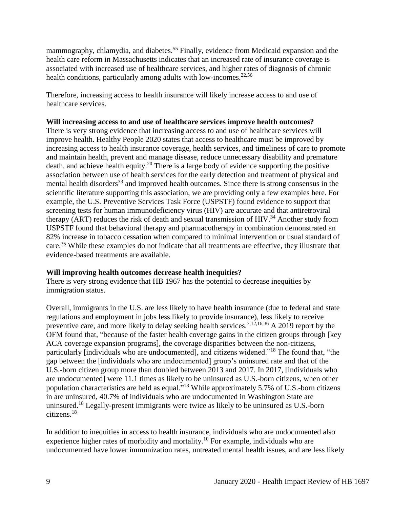mammography, chlamydia, and diabetes.<sup>55</sup> Finally, evidence from Medicaid expansion and the health care reform in Massachusetts indicates that an increased rate of insurance coverage is associated with increased use of healthcare services, and higher rates of diagnosis of chronic health conditions, particularly among adults with low-incomes.<sup>22,56</sup>

Therefore, increasing access to health insurance will likely increase access to and use of healthcare services.

### Will increasing access to and use of healthcare services improve health outcomes?

There is very strong evidence that increasing access to and use of healthcare services will improve health. Healthy People 2020 states that access to healthcare must be improved by increasing access to health insurance coverage, health services, and timeliness of care to promote and maintain health, prevent and manage disease, reduce unnecessary disability and premature death, and achieve health equity.<sup>20</sup> There is a large body of evidence supporting the positive association between use of health services for the early detection and treatment of physical and mental health disorders<sup>33</sup> and improved health outcomes. Since there is strong consensus in the scientific literature supporting this association, we are providing only a few examples here. For example, the U.S. Preventive Services Task Force (USPSTF) found evidence to support that screening tests for human immunodeficiency virus (HIV) are accurate and that antiretroviral therapy (ART) reduces the risk of death and sexual transmission of HIV.<sup>34</sup> Another study from USPSTF found that behavioral therapy and pharmacotherapy in combination demonstrated an 82% increase in tobacco cessation when compared to minimal intervention or usual standard of care.<sup>35</sup> While these examples do not indicate that all treatments are effective, they illustrate that evidence-based treatments are available.

#### **Will improving health outcomes decrease health inequities?**

There is very strong evidence that HB 1967 has the potential to decrease inequities by immigration status.

Overall, immigrants in the U.S. are less likely to have health insurance (due to federal and state regulations and employment in jobs less likely to provide insurance), less likely to receive preventive care, and more likely to delay seeking health services.<sup>7,12,16,36</sup> A 2019 report by the OFM found that, "because of the faster health coverage gains in the citizen groups through [key ACA coverage expansion programs], the coverage disparities between the non-citizens, particularly [individuals who are undocumented], and citizens widened."<sup>18</sup> The found that, "the gap between the [individuals who are undocumented] group's uninsured rate and that of the U.S.-born citizen group more than doubled between 2013 and 2017. In 2017, [individuals who are undocumented] were 11.1 times as likely to be uninsured as U.S.-born citizens, when other population characteristics are held as equal."<sup>18</sup> While approximately 5.7% of U.S.-born citizens in are uninsured, 40.7% of individuals who are undocumented in Washington State are uninsured.<sup>18</sup> Legally-present immigrants were twice as likely to be uninsured as U.S.-born citizens. 18

In addition to inequities in access to health insurance, individuals who are undocumented also experience higher rates of morbidity and mortality.<sup>10</sup> For example, individuals who are undocumented have lower immunization rates, untreated mental health issues, and are less likely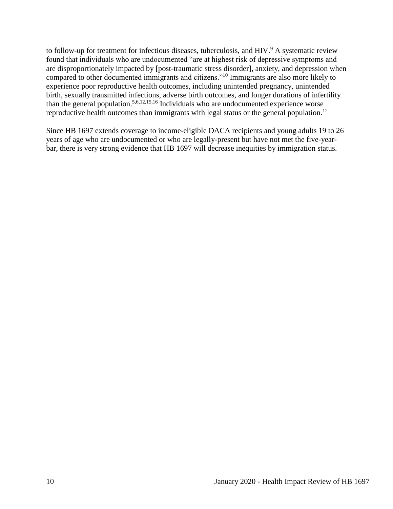to follow-up for treatment for infectious diseases, tuberculosis, and HIV.<sup>9</sup> A systematic review found that individuals who are undocumented "are at highest risk of depressive symptoms and are disproportionately impacted by [post-traumatic stress disorder], anxiety, and depression when compared to other documented immigrants and citizens."<sup>10</sup> Immigrants are also more likely to experience poor reproductive health outcomes, including unintended pregnancy, unintended birth, sexually transmitted infections, adverse birth outcomes, and longer durations of infertility than the general population.<sup>5,6,12,15,16</sup> Individuals who are undocumented experience worse reproductive health outcomes than immigrants with legal status or the general population.<sup>12</sup>

<span id="page-11-0"></span>Since HB 1697 extends coverage to income-eligible DACA recipients and young adults 19 to 26 years of age who are undocumented or who are legally-present but have not met the five-yearbar, there is very strong evidence that HB 1697 will decrease inequities by immigration status.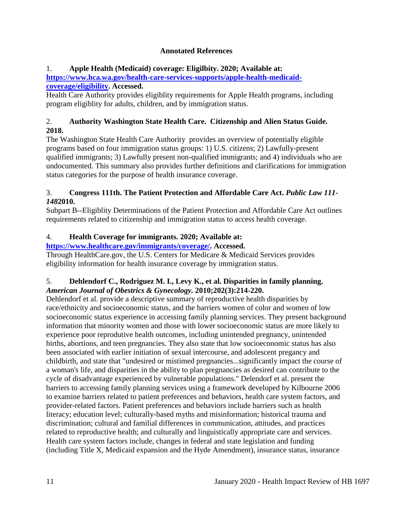# **Annotated References**

# 1. **Apple Health (Medicaid) coverage: Eligilbity. 2020; Available at:**

**[https://www.hca.wa.gov/health-care-services-supports/apple-health-medicaid](https://www.hca.wa.gov/health-care-services-supports/apple-health-medicaid-coverage/eligibility)[coverage/eligibility.](https://www.hca.wa.gov/health-care-services-supports/apple-health-medicaid-coverage/eligibility) Accessed.**

Health Care Authority provides eligiblity requirements for Apple Health programs, including program eligiblity for adults, children, and by immigration status.

# 2. **Authority Washington State Health Care. Citizenship and Alien Status Guide. 2018.**

The Washington State Health Care Authority provides an overview of potentially eligible programs based on four immigration status groups: 1) U.S. citizens; 2) Lawfully-present qualified immigrants; 3) Lawfully present non-qualified immigrants; and 4) individuals who are undocumented. This summary also provides further definitions and clarifications for immigration status categories for the purpose of health insurance coverage.

# 3. **Congress 111th. The Patient Protection and Affordable Care Act.** *Public Law 111- 148***2010.**

Subpart B--Eligiblity Determinations of the Patient Protection and Affordable Care Act outlines requirements related to citizenship and immigration status to access health coverage.

# 4. **Health Coverage for immigrants. 2020; Available at:**

# **[https://www.healthcare.gov/immigrants/coverage/.](https://www.healthcare.gov/immigrants/coverage/) Accessed.**

Through HealthCare.gov, the U.S. Centers for Medicare & Medicaid Services provides eligibility information for health insurance coverage by immigration status.

# 5. **Dehlendorf C., Rodriguez M. I., Levy K., et al. Disparities in family planning.**  *American Journal of Obestrics & Gynecology.* **2010;202(3):214-220.**

Dehlendorf et al. provide a descriptive summary of reproductive health disparities by race/ethnicity and socioeconomic status, and the barriers women of color and women of low socioeconomic status experience in accessing family planning services. They present background information that minority women and those with lower socioeconomic status are more likely to experience poor reprodutive health outcomes, including unintended pregnancy, unintended births, abortions, and teen pregnancies. They also state that low socioeconomic status has also been associated with earlier initiation of sexual intercourse, and adolescent pregancy and childbirth, and state that "undesired or mistimed pregnancies...significantly impact the course of a woman's life, and disparities in the ability to plan pregnancies as desired can contribute to the cycle of disadvantage experienced by vulnerable populations." Delendorf et al. present the barriers to accessing family planning services using a framework developed by Kilbourne 2006 to examine barriers related to patient preferences and behaviors, health care system factors, and provider-related factors. Patient preferences and behaviors include barriers such as health literacy; education level; culturally-based myths and misinformation; historical trauma and discrimination; cultural and familial differences in communication, attitudes, and practices related to reproductive health; and culturally and linguistically appropriate care and services. Health care system factors include, changes in federal and state legislation and funding (including Title X, Medicaid expansion and the Hyde Amendment), insurance status, insurance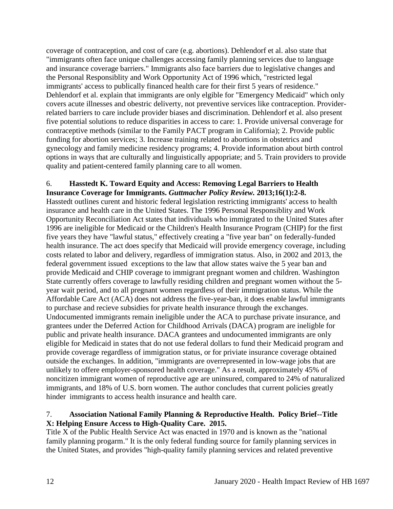coverage of contraception, and cost of care (e.g. abortions). Dehlendorf et al. also state that "immigrants often face unique challenges accessing family planning services due to language and insurance coverage barriers." Immigrants also face barriers due to legislative changes and the Personal Responsiblity and Work Opportunity Act of 1996 which, "restricted legal immigrants' access to publically financed health care for their first 5 years of residence." Dehlendorf et al. explain that immigrants are only elgible for "Emergency Medicaid" which only covers acute illnesses and obestric deliverty, not preventive services like contraception. Providerrelated barriers to care include provider biases and discrimination. Dehlendorf et al. also present five potential solutions to reduce disparities in access to care: 1. Provide universal converage for contraceptive methods (similar to the Family PACT program in California); 2. Provide public funding for abortion services; 3. Increase training related to abortions in obstetrics and gynecology and family medicine residency programs; 4. Provide information about birth control options in ways that are culturally and linguistically appopriate; and 5. Train providers to provide quality and patient-centered family planning care to all women.

#### 6. **Hasstedt K. Toward Equity and Access: Removing Legal Barriers to Health Insurance Coverage for Immigrants.** *Guttmacher Policy Review.* **2013;16(1):2-8.**

Hasstedt outlines curent and historic federal legislation restricting immigrants' access to health insurance and health care in the United States. The 1996 Personal Responsiblity and Work Opportunity Reconciliation Act states that individuals who immigrated to the United States after 1996 are ineligible for Medicaid or the Children's Health Insurance Program (CHIP) for the first five years they have "lawful status," effectively creating a "five year ban" on federally-funded health insurance. The act does specify that Medicaid will provide emergency coverage, including costs related to labor and delivery, regardless of immigration status. Also, in 2002 and 2013, the federal government issued exceptions to the law that allow states waive the 5 year ban and provide Medicaid and CHIP coverage to immigrant pregnant women and children. Washington State currently offers coverage to lawfully residing children and pregnant women without the 5 year wait period, and to all pregnant women regardless of their immigration status. While the Affordable Care Act (ACA) does not address the five-year-ban, it does enable lawful immigrants to purchase and recieve subsidies for private health insurance through the exchanges. Undocumented immigrants remain ineligible under the ACA to purchase private insurance, and grantees under the Deferred Action for Childhood Arrivals (DACA) program are ineligble for public and private health insurance. DACA grantees and undocumented immigrants are only eligible for Medicaid in states that do not use federal dollars to fund their Medicaid program and provide coverage regardless of immigration status, or for priviate insurance coverage obtained outside the exchanges. In addition, "immigrants are overrepresented in low-wage jobs that are unlikely to offere employer-sponsored health coverage." As a result, approximately 45% of noncitizen immigrant women of reproductive age are uninsured, compared to 24% of naturalized immigrants, and 18% of U.S. born women. The author concludes that current policies greatly hinder immigrants to access health insurance and health care.

### 7. **Association National Family Planning & Reproductive Health. Policy Brief--Title X: Helping Ensure Access to High-Quality Care. 2015.**

Title X of the Public Health Service Act was enacted in 1970 and is known as the "national family planning progarm." It is the only federal funding source for family planning services in the United States, and provides "high-quality family planning services and related preventive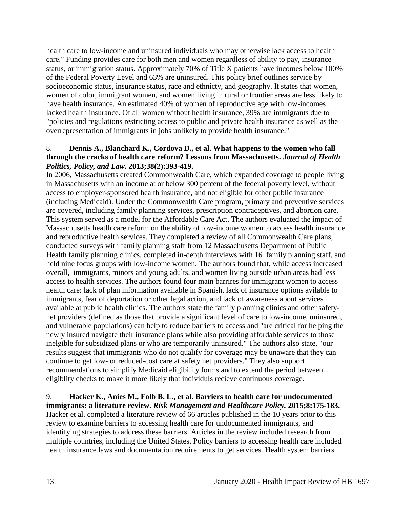health care to low-income and uninsured individuals who may otherwise lack access to health care." Funding provides care for both men and women regardless of ability to pay, insurance status, or immigration status. Approximately 70% of Title X patients have incomes below 100% of the Federal Poverty Level and 63% are uninsured. This policy brief outlines service by socioeconomic status, insurance status, race and ethnicty, and geography. It states that women, women of color, immigrant women, and women living in rural or frontier areas are less likely to have health insurance. An estimated 40% of women of reproductive age with low-incomes lacked health insurance. Of all women without health insurance, 39% are immigrants due to "policies and regulations restricting access to public and private health insurance as well as the overrepresentation of immigrants in jobs unlikely to provide health insurance."

### 8. **Dennis A., Blanchard K., Cordova D., et al. What happens to the women who fall through the cracks of health care reform? Lessons from Massachusetts.** *Journal of Health Politics, Policy, and Law.* **2013;38(2):393-419.**

In 2006, Massachusetts created Commonwealth Care, which expanded coverage to people living in Massachusetts with an income at or below 300 percent of the federal poverty level, without access to employer-sponsored health insurance, and not eligible for other public insurance (including Medicaid). Under the Commonwealth Care program, primary and preventive services are covered, including family planning services, prescription contraceptives, and abortion care. This system served as a model for the Affordable Care Act. The authors evaluated the impact of Massachusetts heatlh care reform on the ability of low-income women to access health insurance and reproductive health services. They completed a review of all Commonwealth Care plans, conducted surveys with family planning staff from 12 Massachusetts Department of Public Health family planning clinics, completed in-depth interviews with 16 family planning staff, and held nine focus groups with low-income women. The authors found that, while access increased overall, immigrants, minors and young adults, and women living outside urban areas had less access to health services. The authors found four main barrires for immigrant women to access health care: lack of plan information available in Spanish, lack of insurance options avilable to immigrants, fear of deportation or other legal action, and lack of awareness about services available at public health clinics. The authors state the family planning clinics and other safetynet providers (defined as those that provide a significant level of care to low-income, uninsured, and vulnerable populations) can help to reduce barriers to access and "are critical for helping the newly insured navigate their insurance plans while also providing affordable services to those inelgible for subsidized plans or who are temporarily uninsured." The authors also state, "our results suggest that immigrants who do not qualify for coverage may be unaware that they can continue to get low- or reduced-cost care at safety net providers." They also support recommendations to simplify Medicaid eligibility forms and to extend the period between eligiblity checks to make it more likely that individuls recieve continuous coverage.

# 9. **Hacker K., Anies M., Folb B. L., et al. Barriers to health care for undocumented**

**immigrants: a literature review.** *Risk Management and Healthcare Policy.* **2015;8:175-183.** Hacker et al. completed a literature review of 66 articles published in the 10 years prior to this review to examine barriers to accessing health care for undocumented immigrants, and identifying strategies to address these barriers. Articles in the review included research from multiple countries, including the United States. Policy barriers to accessing health care included health insurance laws and documentation requirements to get services. Health system barriers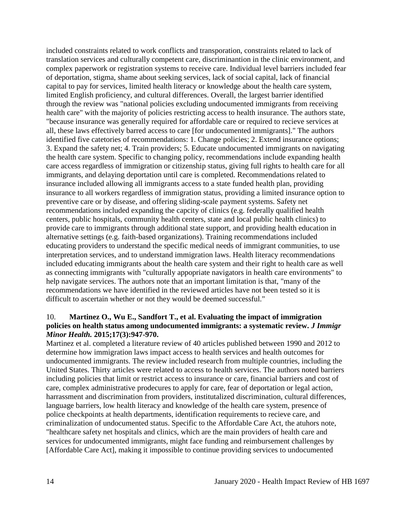included constraints related to work conflicts and transporation, constraints related to lack of translation services and culturally competent care, discriminantion in the clinic environment, and complex paperwork or registration systems to receive care. Individual level barriers included fear of deportation, stigma, shame about seeking services, lack of social capital, lack of financial capital to pay for services, limited health literacy or knowledge about the health care system, limited English proficiency, and cultural differences. Overall, the largest barrier identified through the review was "national policies excluding undocumented immigrants from receiving health care" with the majority of policies restricting access to health insurance. The authors state, "because insurance was generally required for affordable care or required to recieve services at all, these laws effectively barred access to care [for undocumented immigrants]." The authors identified five catetories of recommendations: 1. Change policies; 2. Extend insurance options; 3. Expand the safety net; 4. Train providers; 5. Educate undocumented immigrants on navigating the health care system. Specific to changing policy, recommendations include expanding health care access regardless of immigration or citizenship status, giving full rights to health care for all immigrants, and delaying deportation until care is completed. Recommendations related to insurance included allowing all immigrants access to a state funded health plan, providing insurance to all workers regardless of immigration status, providing a limited insurance option to preventive care or by disease, and offering sliding-scale payment systems. Safety net recommendations included expanding the capcity of clinics (e.g. federally qualified health centers, public hospitals, community health centers, state and local public health clinics) to provide care to immigrants through additional state support, and providing health education in alternative settings (e.g. faith-based organizations). Training recommendations included educating providers to understand the specific medical needs of immigrant communities, to use interpretation services, and to understand immigration laws. Health literacy recommendations included educating immigrants about the health care system and their right to health care as well as connecting immigrants with "culturally appopriate navigators in health care environments" to help navigate services. The authors note that an important limitation is that, "many of the recommendations we have identified in the reviewed articles have not been tested so it is difficult to ascertain whether or not they would be deemed successful."

### 10. **Martinez O., Wu E., Sandfort T., et al. Evaluating the impact of immigration policies on health status among undocumented immigrants: a systematic review.** *J Immigr Minor Health.* **2015;17(3):947-970.**

Martinez et al. completed a literature review of 40 articles published between 1990 and 2012 to determine how immigration laws impact access to health services and health outcomes for undocumented immigrants. The review included research from multiple countries, including the United States. Thirty articles were related to access to health services. The authors noted barriers including policies that limit or restrict access to insurance or care, financial barriers and cost of care, complex administrative prodecures to apply for care, fear of deportation or legal action, harrassment and discrimination from providers, institutalized discrimination, cultural differences, language barriers, low health literacy and knowledge of the health care system, presence of police checkpoints at health departments, identification requirements to recieve care, and criminalization of undocumented status. Specific to the Affordable Care Act, the atuhors note, "healthcare safety net hospitals and clinics, which are the main providers of health care and services for undocumented immigrants, might face funding and reimbursement challenges by [Affordable Care Act], making it impossible to continue providing services to undocumented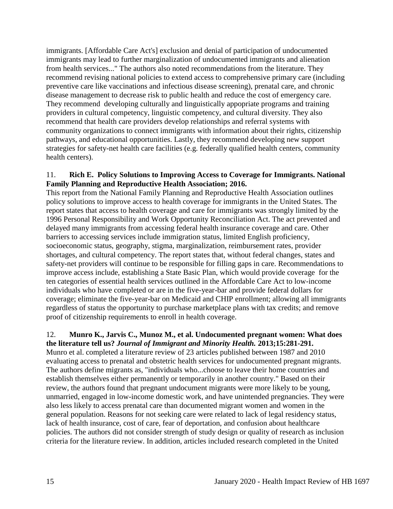immigrants. [Affordable Care Act's] exclusion and denial of participation of undocumented immigrants may lead to further marginalization of undocumented immigrants and alienation from health services..." The authors also noted recommendations from the literature. They recommend revising national policies to extend access to comprehensive primary care (including preventive care like vaccinations and infectious disease screening), prenatal care, and chronic disease management to decrease risk to public health and reduce the cost of emergency care. They recommend developing culturally and linguistically appopriate programs and training providers in cultural competency, linguistic competency, and cultural diversity. They also recommend that health care providers develop relationships and referral systems with community organizations to connect immigrants with information about their rights, citizenship pathways, and educational opportunities. Lastly, they recommend developing new support strategies for safety-net health care facilities (e.g. federally qualified health centers, community health centers).

### 11. **Rich E. Policy Solutions to Improving Access to Coverage for Immigrants. National Family Planning and Reproductive Health Association; 2016.**

This report from the National Family Planning and Reproductive Health Association outlines policy solutions to improve access to health coverage for immigrants in the United States. The report states that access to health coverage and care for immigrants was strongly limited by the 1996 Personal Responsibility and Work Opportunity Reconciliation Act. The act prevented and delayed many immigrants from accessing federal health insurance coverage and care. Other barriers to accessing services include immigration status, limited English proficiency, socioeconomic status, geography, stigma, marginalization, reimbursement rates, provider shortages, and cultural competency. The report states that, without federal changes, states and safety-net providers will continue to be responsible for filling gaps in care. Recommendations to improve access include, establishing a State Basic Plan, which would provide coverage for the ten categories of essential health services outlined in the Affordable Care Act to low-income individuals who have completed or are in the five-year-bar and provide federal dollars for coverage; eliminate the five-year-bar on Medicaid and CHIP enrollment; allowing all immigrants regardless of status the opportunity to purchase marketplace plans with tax credits; and remove proof of citizenship requirements to enroll in health coverage.

### 12. **Munro K., Jarvis C., Munoz M., et al. Undocumented pregnant women: What does the literature tell us?** *Journal of Immigrant and Minority Health.* **2013;15:281-291.**

Munro et al. completed a literature review of 23 articles published between 1987 and 2010 evaluating access to prenatal and obstetric health services for undocumented pregnant migrants. The authors define migrants as, "individuals who...choose to leave their home countries and establish themselves either permanently or temporarily in another country." Based on their review, the authors found that pregnant undocument migrants were more likely to be young, unmarried, engaged in low-income domestic work, and have unintended pregnancies. They were also less likely to access prenatal care than documented migrant women and women in the general population. Reasons for not seeking care were related to lack of legal residency status, lack of health insurance, cost of care, fear of deportation, and confusion about healthcare policies. The authors did not consider strength of study design or quality of research as inclusion criteria for the literature review. In addition, articles included research completed in the United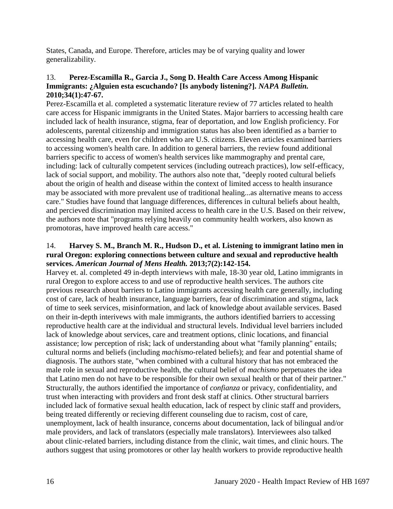States, Canada, and Europe. Therefore, articles may be of varying quality and lower generalizability.

### 13. **Perez-Escamilla R., Garcia J., Song D. Health Care Access Among Hispanic Immigrants: ¿Alguien esta escuchando? [Is anybody listening?].** *NAPA Bulletin.*  **2010;34(1):47-67.**

Perez-Escamilla et al. completed a systematic literature review of 77 articles related to health care access for Hispanic immigrants in the United States. Major barriers to accessing health care included lack of health insurance, stigma, fear of deportation, and low English proficiency. For adolescents, parental citizenship and immigration status has also been identified as a barrier to accessing health care, even for children who are U.S. citizens. Eleven articles examined barriers to accessing women's health care. In addition to general barriers, the review found additional barriers specific to access of women's health services like mammography and prental care, including: lack of culturally competent services (including outreach practices), low self-efficacy, lack of social support, and mobility. The authors also note that, "deeply rooted cultural beliefs about the origin of health and disease within the context of limited access to health insurance may be associated with more prevalent use of traditional healing...as alternative means to access care." Studies have found that language differences, differences in cultural beliefs about health, and percieved discrimination may limited access to health care in the U.S. Based on their reivew, the authors note that "programs relying heavily on community health workers, also known as promotoras, have improved health care access."

### 14. **Harvey S. M., Branch M. R., Hudson D., et al. Listening to immigrant latino men in rural Oregon: exploring connections between culture and sexual and reproductive health services.** *American Journal of Mens Health.* **2013;7(2):142-154.**

Harvey et. al. completed 49 in-depth interviews with male, 18-30 year old, Latino immigrants in rural Oregon to explore access to and use of reproductive health services. The authors cite previous research about barriers to Latino immigrants accessing health care generally, including cost of care, lack of health insurance, language barriers, fear of discrimination and stigma, lack of time to seek services, misinformation, and lack of knowledge about available services. Based on their in-depth interivews with male immigrants, the authors identified barriers to accessing reproductive health care at the individual and structural levels. Individual level barriers included lack of knowledge about services, care and treatment options, clinic locations, and financial assistance; low perception of risk; lack of understanding about what "family planning" entails; cultural norms and beliefs (including *machismo*-related beliefs); and fear and potential shame of diagnosis. The authors state, "when combined with a cultural history that has not embraced the male role in sexual and reproductive health, the cultural belief of *machismo* perpetuates the idea that Latino men do not have to be responsible for their own sexual health or that of their partner." Structurally, the authors identified the importance of *confianza* or privacy, confidentiality, and trust when interacting with providers and front desk staff at clinics. Other structural barriers included lack of formative sexual health education, lack of respect by clinic staff and providers, being treated differently or recieving different counseling due to racism, cost of care, unemployment, lack of health insurance, concerns about documentation, lack of bilingual and/or male providers, and lack of translators (especially male translators). Interviewees also talked about clinic-related barriers, including distance from the clinic, wait times, and clinic hours. The authors suggest that using promotores or other lay health workers to provide reproductive health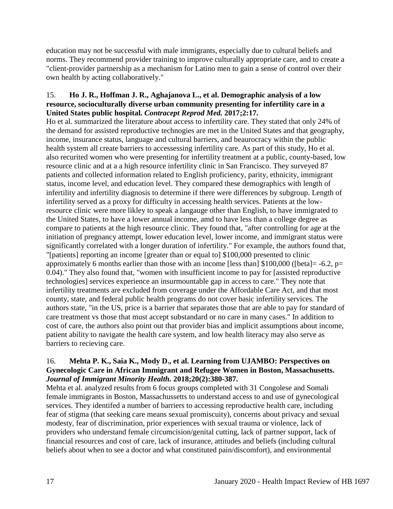education may not be successful with male immigrants, especially due to cultural beliefs and norms. They recommend provider training to improve culturally appropriate care, and to create a "client-provider partnership as a mechanism for Latino men to gain a sense of control over their own health by acting collaboratively."

### 15. **Ho J. R., Hoffman J. R., Aghajanova L., et al. Demographic analysis of a low resource, socioculturally diverse urban community presenting for infertility care in a United States public hospital.** *Contracept Reprod Med.* **2017;2:17.**

Ho et al. summarized the literature about access to infertility care. They stated that only 24% of the demand for assisted reproductive technogies are met in the United States and that geography, income, insurance status, language and cultural barriers, and beaurocracy within the public health system all create barriers to accessessing infertility care. As part of this study, Ho et al. also recurited women who were presenting for infertility treatment at a public, county-based, low resource clinic and at a a high resource infertility clinic in San Francisco. They surveyed 87 patients and collected information related to English proficiency, parity, ethnicity, immigrant status, income level, and education level. They compared these demographics with length of infertility and infertility diagnosis to determine if there were differences by subgroup. Length of infertility served as a proxy for difficulty in accessing health services. Patients at the lowresource clinic were more likley to speak a langauge other than English, to have immigrated to the United States, to have a lower annual income, amd to have less than a college degree as compare to patients at the high resource clinic. They found that, "after controlling for age at the initiation of pregnancy attempt, lower education level, lower income, and immigrant status were significantly correlated with a longer duration of infertility." For example, the authors found that, "[patients] reporting an income [greater than or equal to] \$100,000 presented to clinic approximately 6 months earlier than those with an income [less than]  $$100,000$  ([beta] = -6.2, p= 0.04)." They also found that, "women with insufficient income to pay for [assisted reproductive technologies] services experience an insurmountable gap in access to care." They note that infertility treatments are excluded from coverage under the Affordable Care Act, and that most county, state, and federal public health programs do not cover basic infertility services. The authors state, "in the US, price is a barrier that separates those that are able to pay for standard of care treatment vs those that must accept substandard or no care in many cases." In addition to cost of care, the authors also point out that provider bias and implicit assumptions about income, patient ability to navigate the health care system, and low health literacy may also serve as barriers to recieving care.

### 16. **Mehta P. K., Saia K., Mody D., et al. Learning from UJAMBO: Perspectives on Gynecologic Care in African Immigrant and Refugee Women in Boston, Massachusetts.**  *Journal of Immigrant Minority Health.* **2018;20(2):380-387.**

Mehta et al. analyzed results from 6 focus groups completed with 31 Congolese and Somali female immigrants in Boston, Massachussetts to understand access to and use of gynecological services. They identifed a number of barriers to accessing reproductive health care, including fear of stigma (that seeking care means sexual promiscuity), concerns about privacy and sexual modesty, fear of discrimination, prior experiences with sexual trauma or violence, lack of providers who understand female circumcision/genital cutting, lack of partner support, lack of financial resources and cost of care, lack of insurance, attitudes and beliefs (including cultural beliefs about when to see a doctor and what constituted pain/discomfort), and environmental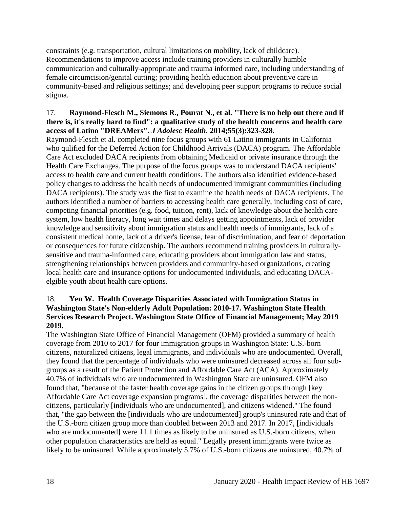constraints (e.g. transportation, cultural limitations on mobility, lack of childcare). Recommendations to improve access include training providers in culturally humble communication and culturally-appropriate and trauma informed care, including understanding of female circumcision/genital cutting; providing health education about preventive care in community-based and religious settings; and developing peer support programs to reduce social stigma.

### 17. **Raymond-Flesch M., Siemons R., Pourat N., et al. "There is no help out there and if there is, it's really hard to find": a qualitative study of the health concerns and health care access of Latino "DREAMers".** *J Adolesc Health.* **2014;55(3):323-328.**

Raymond-Flesch et al. completed nine focus groups with 61 Latino immigrants in California who qulified for the Deferred Action for Childhood Arrivals (DACA) program. The Affordable Care Act excluded DACA recipients from obtaining Medicaid or private insurance through the Health Care Exchanges. The purpose of the focus groups was to understand DACA recipients' access to health care and current health conditions. The authors also identified evidence-based policy changes to address the health needs of undocumented immigrant communities (including DACA recipients). The study was the first to examine the health needs of DACA recipients. The authors identified a number of barriers to accessing health care generally, including cost of care, competing financial priorities (e.g. food, tuition, rent), lack of knowledge about the health care system, low health literacy, long wait times and delays getting appointments, lack of provider knowledge and sensitivity about immigration status and health needs of immigrants, lack of a consistent medical home, lack of a driver's license, fear of discrimination, and fear of deportation or consequences for future citizenship. The authors recommend training providers in culturallysensitive and trauma-informed care, educating providers about immigration law and status, strengthening relationships between providers and community-based organizations, creating local health care and insurance options for undocumented individuals, and educating DACAelgible youth about health care options.

### 18. **Yen W. Health Coverage Disparities Associated with Immigration Status in Washington State's Non-elderly Adult Population: 2010-17. Washington State Health Services Research Project. Washington State Office of Financial Management; May 2019 2019.**

The Washington State Office of Financial Management (OFM) provided a summary of health coverage from 2010 to 2017 for four immigration groups in Washington State: U.S.-born citizens, naturalized citizens, legal immigrants, and individuals who are undocumented. Overall, they found that the percentage of individuals who were uninsured decreased across all four subgroups as a result of the Patient Protection and Affordable Care Act (ACA). Approximately 40.7% of individuals who are undocumented in Washington State are uninsured. OFM also found that, "because of the faster health coverage gains in the citizen groups through [key Affordable Care Act coverage expansion programs], the coverage disparities between the noncitizens, particularly [individuals who are undocumented], and citizens widened." The found that, "the gap between the [individuals who are undocumented] group's uninsured rate and that of the U.S.-born citizen group more than doubled between 2013 and 2017. In 2017, [individuals who are undocumented] were 11.1 times as likely to be uninsured as U.S.-born citizens, when other population characteristics are held as equal." Legally present immigrants were twice as likely to be uninsured. While approximately 5.7% of U.S.-born citizens are uninsured, 40.7% of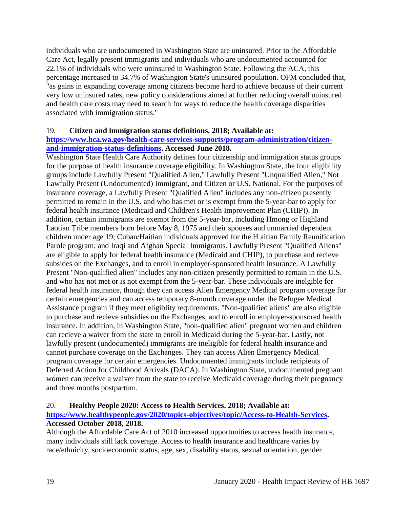individuals who are undocumented in Washington State are uninsured. Prior to the Affordable Care Act, legally present immigrants and individuals who are undocumented accounted for 22.1% of individuals who were uninsured in Washington State. Following the ACA, this percentage increased to 34.7% of Washington State's uninsured population. OFM concluded that, "as gains in expanding coverage among citizens become hard to achieve because of their current very low uninsured rates, new policy considerations aimed at further reducing overall uninsured and health care costs may need to search for ways to reduce the health coverage disparities associated with immigration status."

### 19. **Citizen and immigration status definitions. 2018; Available at:**

### **[https://www.hca.wa.gov/health-care-services-supports/program-administration/citizen](https://www.hca.wa.gov/health-care-services-supports/program-administration/citizen-and-immigration-status-definitions)[and-immigration-status-definitions.](https://www.hca.wa.gov/health-care-services-supports/program-administration/citizen-and-immigration-status-definitions) Accessed June 2018.**

Washington State Health Care Authority defines four citizenship and immigration status groups for the purpose of health insurance coverage eligibility. In Washington State, the four eligibility groups include Lawfully Present "Qualified Alien," Lawfully Present "Unqualified Alien," Not Lawfully Present (Undocumented) Immigrant, and Citizen or U.S. National. For the purposes of insurance coverage, a Lawfully Present "Qualified Alien" includes any non-citizen presently permitted to remain in the U.S. and who has met or is exempt from the 5-year-bar to apply for federal health insurance (Medicaid and Children's Health Improvement Plan (CHIP)). In addition, certain immigrants are exempt from the 5-year-bar, including Hmong or Highland Laotian Tribe members born before May 8, 1975 and their spouses and unmarried dependent children under age 19; Cuban/Haitian individuals approved for the H aitian Family Reunification Parole program; and Iraqi and Afghan Special Immigrants. Lawfully Present "Qualified Aliens" are eligible to apply for federal health insurance (Medicaid and CHIP), to purchase and recieve subsides on the Exchanges, and to enroll in employer-sponsored health insurance. A Lawfully Present "Non-qualified alien" includes any non-citizen presently permitted to remain in the U.S. and who has not met or is not exempt from the 5-year-bar. These individuals are inelgible for federal health insurance, though they can access Alien Emergency Medical program coverage for certain emergencies and can access temporary 8-month coverage under the Refugee Medical Assistance program if they meet eligiblity requirements. "Non-qualified aliens" are also eligible to purchase and recieve subsidies on the Exchanges, and to enroll in employer-sponsored health insurance. In addition, in Washington State, "non-qualified alien" pregnant women and children can recieve a waiver from the state to enroll in Medicaid during the 5-year-bar. Lastly, not lawfully present (undocumented) immigrants are ineligible for federal health insurance and cannot purchase coverage on the Exchanges. They can access Alien Emergency Medical program coverage for certain emergencies. Undocumented immigrants include recipients of Deferred Action for Childhood Arrivals (DACA). In Washington State, undocumented pregnant women can receive a waiver from the state to receive Medicaid coverage during their pregnancy and three months postpartum.

#### 20. **Healthy People 2020: Access to Health Services. 2018; Available at:**

### **[https://www.healthypeople.gov/2020/topics-objectives/topic/Access-to-Health-Services.](https://www.healthypeople.gov/2020/topics-objectives/topic/Access-to-Health-Services) Accessed October 2018, 2018.**

Although the Affordable Care Act of 2010 increased opportunities to access health insurance, many individuals still lack coverage. Access to health insurance and healthcare varies by race/ethnicity, socioeconomic status, age, sex, disability status, sexual orientation, gender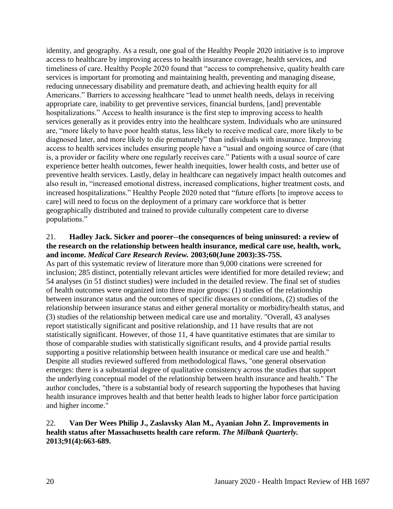identity, and geography. As a result, one goal of the Healthy People 2020 initiative is to improve access to healthcare by improving access to health insurance coverage, health services, and timeliness of care. Healthy People 2020 found that "access to comprehensive, quality health care services is important for promoting and maintaining health, preventing and managing disease, reducing unnecessary disability and premature death, and achieving health equity for all Americans." Barriers to accessing healthcare "lead to unmet health needs, delays in receiving appropriate care, inability to get preventive services, financial burdens, [and] preventable hospitalizations." Access to health insurance is the first step to improving access to health services generally as it provides entry into the healthcare system. Individuals who are uninsured are, "more likely to have poor health status, less likely to receive medical care, more likely to be diagnosed later, and more likely to die prematurely" than individuals with insurance. Improving access to health services includes ensuring people have a "usual and ongoing source of care (that is, a provider or facility where one regularly receives care." Patients with a usual source of care experience better health outcomes, fewer health inequities, lower health costs, and better use of preventive health services. Lastly, delay in healthcare can negatively impact health outcomes and also result in, "increased emotional distress, increased complications, higher treatment costs, and increased hospitalizations." Healthy People 2020 noted that "future efforts [to improve access to care] will need to focus on the deployment of a primary care workforce that is better geographically distributed and trained to provide culturally competent care to diverse populations."

### 21. **Hadley Jack. Sicker and poorer--the consequences of being uninsured: a review of the research on the relationship between health insurance, medical care use, health, work, and income.** *Medical Care Research Review.* **2003;60(June 2003):3S-75S.**

As part of this systematic review of literature more than 9,000 citations were screened for inclusion; 285 distinct, potentially relevant articles were identified for more detailed review; and 54 analyses (in 51 distinct studies) were included in the detailed review. The final set of studies of health outcomes were organized into three major groups: (1) studies of the relationship between insurance status and the outcomes of specific diseases or conditions, (2) studies of the relationship between insurance status and either general mortality or morbidity/health status, and (3) studies of the relationship between medical care use and mortality. "Overall, 43 analyses report statistically significant and positive relationship, and 11 have results that are not statistically significant. However, of those 11, 4 have quantitative estimates that are similar to those of comparable studies with statistically significant results, and 4 provide partial results supporting a positive relationship between health insurance or medical care use and health." Despite all studies reviewed suffered from methodological flaws, "one general observation emerges: there is a substantial degree of qualitative consistency across the studies that support the underlying conceptual model of the relationship between health insurance and health." The author concludes, "there is a substantial body of research supporting the hypotheses that having health insurance improves health and that better health leads to higher labor force participation and higher income."

### 22. **Van Der Wees Philip J., Zaslavsky Alan M., Ayanian John Z. Improvements in health status after Massachusetts health care reform.** *The Milbank Quarterly.*  **2013;91(4):663-689.**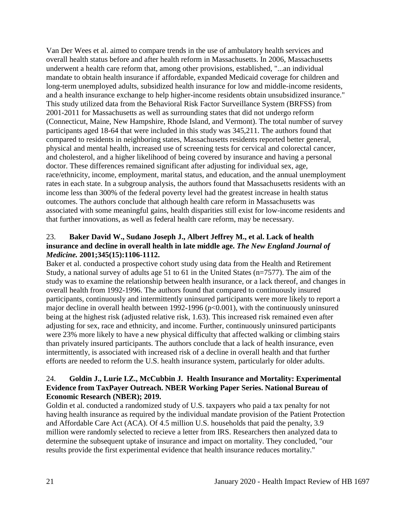Van Der Wees et al. aimed to compare trends in the use of ambulatory health services and overall health status before and after health reform in Massachusetts. In 2006, Massachusetts underwent a health care reform that, among other provisions, established, "...an individual mandate to obtain health insurance if affordable, expanded Medicaid coverage for children and long-term unemployed adults, subsidized health insurance for low and middle-income residents, and a health insurance exchange to help higher-income residents obtain unsubsidized insurance." This study utilized data from the Behavioral Risk Factor Surveillance System (BRFSS) from 2001-2011 for Massachusetts as well as surrounding states that did not undergo reform (Connecticut, Maine, New Hampshire, Rhode Island, and Vermont). The total number of survey participants aged 18-64 that were included in this study was 345,211. The authors found that compared to residents in neighboring states, Massachusetts residents reported better general, physical and mental health, increased use of screening tests for cervical and colorectal cancer, and cholesterol, and a higher likelihood of being covered by insurance and having a personal doctor. These differences remained significant after adjusting for individual sex, age, race/ethnicity, income, employment, marital status, and education, and the annual unemployment rates in each state. In a subgroup analysis, the authors found that Massachusetts residents with an income less than 300% of the federal poverty level had the greatest increase in health status outcomes. The authors conclude that although health care reform in Massachusetts was associated with some meaningful gains, health disparities still exist for low-income residents and that further innovations, as well as federal health care reform, may be necessary.

# 23. **Baker David W., Sudano Joseph J., Albert Jeffrey M., et al. Lack of health insurance and decline in overall health in late middle age.** *The New England Journal of Medicine.* **2001;345(15):1106-1112.**

Baker et al. conducted a prospective cohort study using data from the Health and Retirement Study, a national survey of adults age 51 to 61 in the United States (n=7577). The aim of the study was to examine the relationship between health insurance, or a lack thereof, and changes in overall health from 1992-1996. The authors found that compared to continuously insured participants, continuously and intermittently uninsured participants were more likely to report a major decline in overall health between 1992-1996 (p<0.001), with the continuously uninsured being at the highest risk (adjusted relative risk, 1.63). This increased risk remained even after adjusting for sex, race and ethnicity, and income. Further, continuously uninsured participants were 23% more likely to have a new physical difficulty that affected walking or climbing stairs than privately insured participants. The authors conclude that a lack of health insurance, even intermittently, is associated with increased risk of a decline in overall health and that further efforts are needed to reform the U.S. health insurance system, particularly for older adults.

### 24. **Goldin J., Lurie I.Z., McCubbin J. Health Insurance and Mortality: Experimental Evidence from TaxPayer Outreach. NBER Working Paper Series. National Bureau of Economic Research (NBER); 2019.**

Goldin et al. conducted a randomized study of U.S. taxpayers who paid a tax penalty for not having health insurance as required by the individual mandate provision of the Patient Protection and Affordable Care Act (ACA). Of 4.5 million U.S. households that paid the penalty, 3.9 million were randomly selected to recieve a letter from IRS. Researchers then analyzed data to determine the subsequent uptake of insurance and impact on mortality. They concluded, "our results provide the first experimental evidence that health insurance reduces mortality."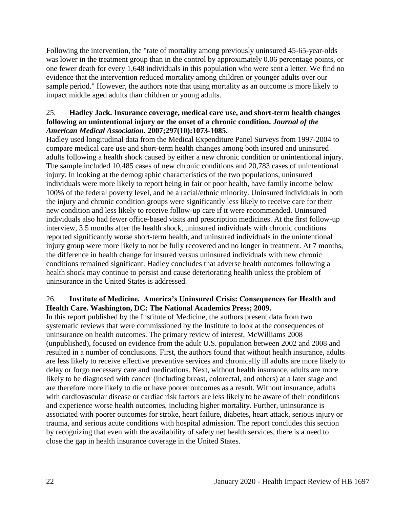Following the intervention, the "rate of mortality among previously uninsured 45-65-year-olds was lower in the treatment group than in the control by approximately 0.06 percentage points, or one fewer death for every 1,648 individuals in this population who were sent a letter. We find no evidence that the intervention reduced mortality among children or younger adults over our sample period." However, the authors note that using mortality as an outcome is more likely to impact middle aged adults than children or young adults.

### 25. **Hadley Jack. Insurance coverage, medical care use, and short-term health changes following an unintentional injury or the onset of a chronic condition.** *Journal of the American Medical Association.* **2007;297(10):1073-1085.**

Hadley used longitudinal data from the Medical Expenditure Panel Surveys from 1997-2004 to compare medical care use and short-term health changes among both insured and uninsured adults following a health shock caused by either a new chronic condition or unintentional injury. The sample included 10,485 cases of new chronic conditions and 20,783 cases of unintentional injury. In looking at the demographic characteristics of the two populations, uninsured individuals were more likely to report being in fair or poor health, have family income below 100% of the federal poverty level, and be a racial/ethnic minority. Uninsured individuals in both the injury and chronic condition groups were significantly less likely to receive care for their new condition and less likely to receive follow-up care if it were recommended. Uninsured individuals also had fewer office-based visits and prescription medicines. At the first follow-up interview, 3.5 months after the health shock, uninsured individuals with chronic conditions reported significantly worse short-term health, and uninsured individuals in the unintentional injury group were more likely to not be fully recovered and no longer in treatment. At 7 months, the difference in health change for insured versus uninsured individuals with new chronic conditions remained significant. Hadley concludes that adverse health outcomes following a health shock may continue to persist and cause deteriorating health unless the problem of uninsurance in the United States is addressed.

### 26. **Institute of Medicine. America's Uninsured Crisis: Consequences for Health and Health Care. Washington, DC: The National Academics Press; 2009.**

In this report published by the Institute of Medicine, the authors present data from two systematic reviews that were commissioned by the Institute to look at the consequences of uninsurance on health outcomes. The primary review of interest, McWilliams 2008 (unpublished), focused on evidence from the adult U.S. population between 2002 and 2008 and resulted in a number of conclusions. First, the authors found that without health insurance, adults are less likely to receive effective preventive services and chronically ill adults are more likely to delay or forgo necessary care and medications. Next, without health insurance, adults are more likely to be diagnosed with cancer (including breast, colorectal, and others) at a later stage and are therefore more likely to die or have poorer outcomes as a result. Without insurance, adults with cardiovascular disease or cardiac risk factors are less likely to be aware of their conditions and experience worse health outcomes, including higher mortality. Further, uninsurance is associated with poorer outcomes for stroke, heart failure, diabetes, heart attack, serious injury or trauma, and serious acute conditions with hospital admission. The report concludes this section by recognizing that even with the availability of safety net health services, there is a need to close the gap in health insurance coverage in the United States.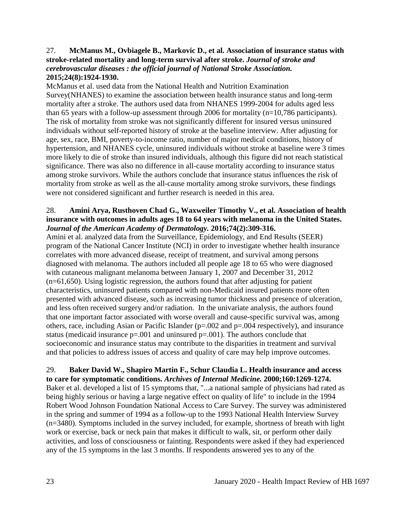### 27. **McManus M., Ovbiagele B., Markovic D., et al. Association of insurance status with stroke-related mortality and long-term survival after stroke.** *Journal of stroke and cerebrovascular diseases : the official journal of National Stroke Association.*  **2015;24(8):1924-1930.**

McManus et al. used data from the National Health and Nutrition Examination Survey(NHANES) to examine the association between health insurance status and long-term mortality after a stroke. The authors used data from NHANES 1999-2004 for adults aged less than 65 years with a follow-up assessment through 2006 for mortality (n=10,786 participants). The risk of mortality from stroke was not significantly different for insured versus uninsured individuals without self-reported history of stroke at the baseline interview. After adjusting for age, sex, race, BMI, poverty-to-income ratio, number of major medical conditions, history of hypertension, and NHANES cycle, uninsured individuals without stroke at baseline were 3 times more likely to die of stroke than insured individuals, although this figure did not reach statistical significance. There was also no difference in all-cause mortality according to insurance status among stroke survivors. While the authors conclude that insurance status influences the risk of mortality from stroke as well as the all-cause mortality among stroke survivors, these findings were not considered significant and further research is needed in this area.

### 28. **Amini Arya, Rusthoven Chad G., Waxweiler Timothy V., et al. Association of health insurance with outcomes in adults ages 18 to 64 years with melanoma in the United States.**  *Journal of the American Academy of Dermatology.* **2016;74(2):309-316.**

Amini et al. analyzed data from the Surveillance, Epidemiology, and End Results (SEER) program of the National Cancer Institute (NCI) in order to investigate whether health insurance correlates with more advanced disease, receipt of treatment, and survival among persons diagnosed with melanoma. The authors included all people age 18 to 65 who were diagnosed with cutaneous malignant melanoma between January 1, 2007 and December 31, 2012 (n=61,650). Using logistic regression, the authors found that after adjusting for patient characteristics, uninsured patients compared with non-Medicaid insured patients more often presented with advanced disease, such as increasing tumor thickness and presence of ulceration, and less often received surgery and/or radiation. In the univariate analysis, the authors found that one important factor associated with worse overall and cause-specific survival was, among others, race, including Asian or Pacific Islander ( $p=.002$  and  $p=.004$  respectively), and insurance status (medicaid insurance  $p=.001$  and uninsured  $p=.001$ ). The authors conclude that socioeconomic and insurance status may contribute to the disparities in treatment and survival and that policies to address issues of access and quality of care may help improve outcomes.

### 29. **Baker David W., Shapiro Martin F., Schur Claudia L. Health insurance and access to care for symptomatic conditions.** *Archives of Internal Medicine.* **2000;160:1269-1274.** Baker et al. developed a list of 15 symptoms that, "...a national sample of physicians had rated as being highly serious or having a large negative effect on quality of life" to include in the 1994 Robert Wood Johnson Foundation National Access to Care Survey. The survey was administered in the spring and summer of 1994 as a follow-up to the 1993 National Health Interview Survey (n=3480). Symptoms included in the survey included, for example, shortness of breath with light work or exercise, back or neck pain that makes it difficult to walk, sit, or perform other daily activities, and loss of consciousness or fainting. Respondents were asked if they had experienced any of the 15 symptoms in the last 3 months. If respondents answered yes to any of the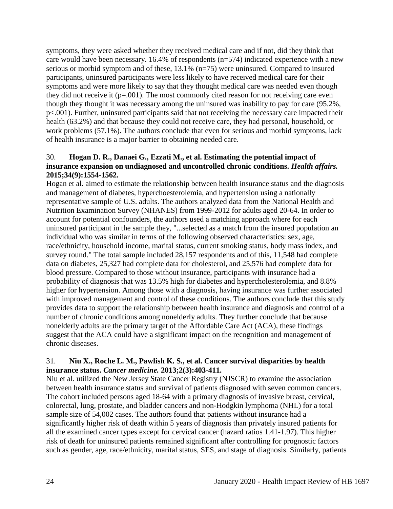symptoms, they were asked whether they received medical care and if not, did they think that care would have been necessary. 16.4% of respondents (n=574) indicated experience with a new serious or morbid symptom and of these, 13.1% (n=75) were uninsured. Compared to insured participants, uninsured participants were less likely to have received medical care for their symptoms and were more likely to say that they thought medical care was needed even though they did not receive it  $(p=.001)$ . The most commonly cited reason for not receiving care even though they thought it was necessary among the uninsured was inability to pay for care (95.2%, p<.001). Further, uninsured participants said that not receiving the necessary care impacted their health (63.2%) and that because they could not receive care, they had personal, household, or work problems (57.1%). The authors conclude that even for serious and morbid symptoms, lack of health insurance is a major barrier to obtaining needed care.

### 30. **Hogan D. R., Danaei G., Ezzati M., et al. Estimating the potential impact of insurance expansion on undiagnosed and uncontrolled chronic conditions.** *Health affairs.*  **2015;34(9):1554-1562.**

Hogan et al. aimed to estimate the relationship between health insurance status and the diagnosis and management of diabetes, hyperchoesterolemia, and hypertension using a nationally representative sample of U.S. adults. The authors analyzed data from the National Health and Nutrition Examination Survey (NHANES) from 1999-2012 for adults aged 20-64. In order to account for potential confounders, the authors used a matching approach where for each uninsured participant in the sample they, "...selected as a match from the insured population an individual who was similar in terms of the following observed characteristics: sex, age, race/ethnicity, household income, marital status, current smoking status, body mass index, and survey round." The total sample included 28,157 respondents and of this, 11,548 had complete data on diabetes, 25,327 had complete data for cholesterol, and 25,576 had complete data for blood pressure. Compared to those without insurance, participants with insurance had a probability of diagnosis that was 13.5% high for diabetes and hypercholesterolemia, and 8.8% higher for hypertension. Among those with a diagnosis, having insurance was further associated with improved management and control of these conditions. The authors conclude that this study provides data to support the relationship between health insurance and diagnosis and control of a number of chronic conditions among nonelderly adults. They further conclude that because nonelderly adults are the primary target of the Affordable Care Act (ACA), these findings suggest that the ACA could have a significant impact on the recognition and management of chronic diseases.

### 31. **Niu X., Roche L. M., Pawlish K. S., et al. Cancer survival disparities by health insurance status.** *Cancer medicine.* **2013;2(3):403-411.**

Niu et al. utilized the New Jersey State Cancer Registry (NJSCR) to examine the association between health insurance status and survival of patients diagnosed with seven common cancers. The cohort included persons aged 18-64 with a primary diagnosis of invasive breast, cervical, colorectal, lung, prostate, and bladder cancers and non-Hodgkin lymphoma (NHL) for a total sample size of 54,002 cases. The authors found that patients without insurance had a significantly higher risk of death within 5 years of diagnosis than privately insured patients for all the examined cancer types except for cervical cancer (hazard ratios 1.41-1.97). This higher risk of death for uninsured patients remained significant after controlling for prognostic factors such as gender, age, race/ethnicity, marital status, SES, and stage of diagnosis. Similarly, patients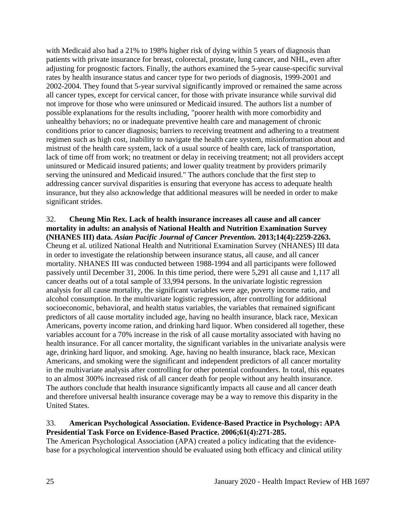with Medicaid also had a 21% to 198% higher risk of dying within 5 years of diagnosis than patients with private insurance for breast, colorectal, prostate, lung cancer, and NHL, even after adjusting for prognostic factors. Finally, the authors examined the 5-year cause-specific survival rates by health insurance status and cancer type for two periods of diagnosis, 1999-2001 and 2002-2004. They found that 5-year survival significantly improved or remained the same across all cancer types, except for cervical cancer, for those with private insurance while survival did not improve for those who were uninsured or Medicaid insured. The authors list a number of possible explanations for the results including, "poorer health with more comorbidity and unhealthy behaviors; no or inadequate preventive health care and management of chronic conditions prior to cancer diagnosis; barriers to receiving treatment and adhering to a treatment regimen such as high cost, inability to navigate the health care system, misinformation about and mistrust of the health care system, lack of a usual source of health care, lack of transportation, lack of time off from work; no treatment or delay in receiving treatment; not all providers accept uninsured or Medicaid insured patients; and lower quality treatment by providers primarily serving the uninsured and Medicaid insured." The authors conclude that the first step to addressing cancer survival disparities is ensuring that everyone has access to adequate health insurance, but they also acknowledge that additional measures will be needed in order to make significant strides.

### 32. **Cheung Min Rex. Lack of health insurance increases all cause and all cancer mortality in adults: an analysis of National Health and Nutrition Examination Survey (NHANES III) data.** *Asian Pacific Journal of Cancer Prevention.* **2013;14(4):2259-2263.**

Cheung et al. utilized National Health and Nutritional Examination Survey (NHANES) III data in order to investigate the relationship between insurance status, all cause, and all cancer mortality. NHANES III was conducted between 1988-1994 and all participants were followed passively until December 31, 2006. In this time period, there were 5,291 all cause and 1,117 all cancer deaths out of a total sample of 33,994 persons. In the univariate logistic regression analysis for all cause mortality, the significant variables were age, poverty income ratio, and alcohol consumption. In the multivariate logistic regression, after controlling for additional socioeconomic, behavioral, and health status variables, the variables that remained significant predictors of all cause mortality included age, having no health insurance, black race, Mexican Americans, poverty income ration, and drinking hard liquor. When considered all together, these variables account for a 70% increase in the risk of all cause mortality associated with having no health insurance. For all cancer mortality, the significant variables in the univariate analysis were age, drinking hard liquor, and smoking. Age, having no health insurance, black race, Mexican Americans, and smoking were the significant and independent predictors of all cancer mortality in the multivariate analysis after controlling for other potential confounders. In total, this equates to an almost 300% increased risk of all cancer death for people without any health insurance. The authors conclude that health insurance significantly impacts all cause and all cancer death and therefore universal health insurance coverage may be a way to remove this disparity in the United States.

### 33. **American Psychological Association. Evidence-Based Practice in Psychology: APA Presidential Task Force on Evidence-Based Practice. 2006;61(4):271-285.**

The American Psychological Association (APA) created a policy indicating that the evidencebase for a psychological intervention should be evaluated using both efficacy and clinical utility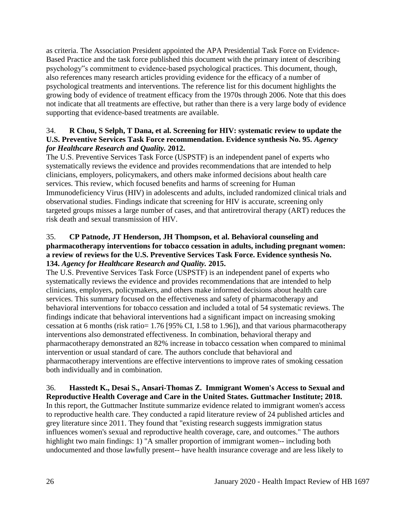as criteria. The Association President appointed the APA Presidential Task Force on Evidence-Based Practice and the task force published this document with the primary intent of describing psychology"s commitment to evidence-based psychological practices. This document, though, also references many research articles providing evidence for the efficacy of a number of psychological treatments and interventions. The reference list for this document highlights the growing body of evidence of treatment efficacy from the 1970s through 2006. Note that this does not indicate that all treatments are effective, but rather than there is a very large body of evidence supporting that evidence-based treatments are available.

# 34. **R Chou, S Selph, T Dana, et al. Screening for HIV: systematic review to update the**  U.S. Preventive Services Task Force recommendation. Evidence synthesis No. 95. *Agency for Healthcare Research and Quality.* **2012.**

The U.S. Preventive Services Task Force (USPSTF) is an independent panel of experts who systematically reviews the evidence and provides recommendations that are intended to help clinicians, employers, policymakers, and others make informed decisions about health care services. This review, which focused benefits and harms of screening for Human Immunodeficiency Virus (HIV) in adolescents and adults, included randomized clinical trials and observational studies. Findings indicate that screening for HIV is accurate, screening only targeted groups misses a large number of cases, and that antiretroviral therapy (ART) reduces the risk death and sexual transmission of HIV.

### 35. **CP Patnode, JT Henderson, JH Thompson, et al. Behavioral counseling and pharmacotherapy interventions for tobacco cessation in adults, including pregnant women: a review of reviews for the U.S. Preventive Services Task Force. Evidence synthesis No. 134.** *Agency for Healthcare Research and Quality.* **2015.**

The U.S. Preventive Services Task Force (USPSTF) is an independent panel of experts who systematically reviews the evidence and provides recommendations that are intended to help clinicians, employers, policymakers, and others make informed decisions about health care services. This summary focused on the effectiveness and safety of pharmacotherapy and behavioral interventions for tobacco cessation and included a total of 54 systematic reviews. The findings indicate that behavioral interventions had a significant impact on increasing smoking cessation at 6 months (risk ratio= 1.76 [95% CI, 1.58 to 1.96]), and that various pharmacotherapy interventions also demonstrated effectiveness. In combination, behavioral therapy and pharmacotherapy demonstrated an 82% increase in tobacco cessation when compared to minimal intervention or usual standard of care. The authors conclude that behavioral and pharmacotherapy interventions are effective interventions to improve rates of smoking cessation both individually and in combination.

### 36. **Hasstedt K., Desai S., Ansari-Thomas Z. Immigrant Women's Access to Sexual and Reproductive Health Coverage and Care in the United States. Guttmacher Institute; 2018.**

In this report, the Guttmacher Institute summarize evidence related to immigrant women's access to reproductive health care. They conducted a rapid literature review of 24 published articles and grey literature since 2011. They found that "existing research suggests immigration status influences women's sexual and reproductive health coverage, care, and outcomes." The authors highlight two main findings: 1) "A smaller proportion of immigrant women-- including both undocumented and those lawfully present-- have health insurance coverage and are less likely to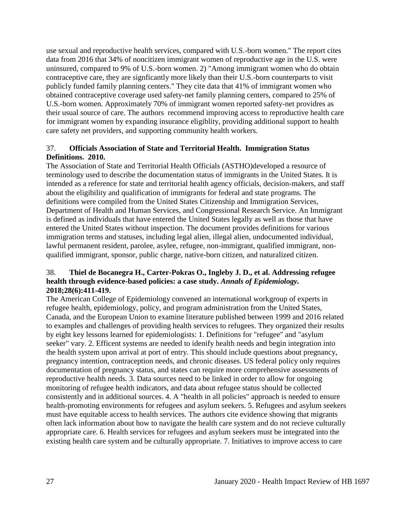use sexual and reproductive health services, compared with U.S.-born women." The report cites data from 2016 that 34% of noncitizen immigrant women of reproductive age in the U.S. were uninsured, compared to 9% of U.S.-born women. 2) "Among immigrant women who do obtain contraceptive care, they are signficantly more likely than their U.S.-born counterparts to visit publicly funded family planning centers." They cite data that 41% of immigrant women who obtained contraceptive coverage used safety-net family planning centers, compared to 25% of U.S.-born women. Approximately 70% of immigrant women reported safety-net providres as their usual source of care. The authors recommend improving access to reproductive health care for immigrant women by expanding insurance eligiblity, providing additional support to health care safety net providers, and supporting community health workers.

# 37. **Officials Association of State and Territorial Health. Immigration Status Definitions. 2010.**

The Association of State and Territorial Health Officials (ASTHO)developed a resource of terminology used to describe the documentation status of immigrants in the United States. It is intended as a reference for state and territorial health agency officials, decision-makers, and staff about the eligibility and qualification of immigrants for federal and state programs. The definitions were compiled from the United States Citizenship and Immigration Services, Department of Health and Human Services, and Congressional Research Service. An Immigrant is defined as individuals that have entered the United States legally as well as those that have entered the United States without inspection. The document provides definitions for various immigration terms and statuses, including legal alien, illegal alien, undocumented individual, lawful permanent resident, parolee, asylee, refugee, non-immigrant, qualified immigrant, nonqualified immigrant, sponsor, public charge, native-born citizen, and naturalized citizen.

# 38. **Thiel de Bocanegra H., Carter-Pokras O., Ingleby J. D., et al. Addressing refugee health through evidence-based policies: a case study.** *Annals of Epidemiology.*  **2018;28(6):411-419.**

The American College of Epidemiology convened an international workgroup of experts in refugee health, epidemiology, policy, and program administration from the United States, Canada, and the European Union to examine literature published between 1999 and 2016 related to examples and challenges of providing health services to refugees. They organized their results by eight key lessons learned for epidemiologists: 1. Definitions for "refugee" and "asylum seeker" vary. 2. Efficent systems are needed to idenify health needs and begin integration into the health system upon arrival at port of entry. This should include questions about pregnancy, pregnancy intention, contraception needs, and chronic diseases. US federal policy only requires documentation of pregnancy status, and states can require more comprehensive assessments of reproductive health needs. 3. Data sources need to be linked in order to allow for ongoing monitoring of refugee health indicators, and data about refugee status should be collected consistently and in additional sources. 4. A "health in all policies" approach is needed to ensure health-promoting environments for refugees and asylum seekers. 5. Refugees and asylum seekers must have equitable access to health services. The authors cite evidence showing that migrants often lack information about how to navigate the health care system and do not recieve culturally appropriate care. 6. Health services for refugees and asylum seekers must be integrated into the existing health care system and be culturally appropriate. 7. Initiatives to improve access to care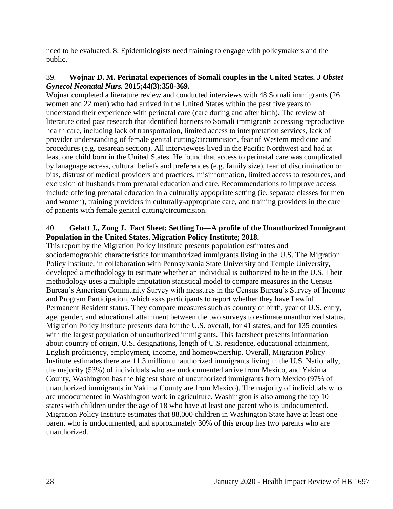need to be evaluated. 8. Epidemiologists need training to engage with policymakers and the public.

### 39. **Wojnar D. M. Perinatal experiences of Somali couples in the United States.** *J Obstet Gynecol Neonatal Nurs.* **2015;44(3):358-369.**

Wojnar completed a literature review and conducted interviews with 48 Somali immigrants (26 women and 22 men) who had arrived in the United States within the past five years to understand their experience with perinatal care (care during and after birth). The review of literature cited past research that identified barriers to Somali immigrants accessing reproductive health care, including lack of transportation, limited access to interpretation services, lack of provider understanding of female genital cutting/circumcision, fear of Western medicine and procedures (e.g. cesarean section). All interviewees lived in the Pacific Northwest and had at least one child born in the United States. He found that access to perinatal care was complicated by lanaguage access, cultural beliefs and preferences (e.g. family size), fear of discrimination or bias, distrust of medical providers and practices, misinformation, limited access to resources, and exclusion of husbands from prenatal education and care. Recommendations to improve access include offering prenatal education in a culturally appopriate setting (ie. separate classes for men and women), training providers in culturally-appropriate care, and training providers in the care of patients with female genital cutting/circumcision.

# 40. **Gelatt J., Zong J. Fact Sheet: Settling In—A profile of the Unauthorized Immigrant Population in the United States. Migration Policy Institute; 2018.**

This report by the Migration Policy Institute presents population estimates and sociodemographic characteristics for unauthorized immigrants living in the U.S. The Migration Policy Institute, in collaboration with Pennsylvania State University and Temple University, developed a methodology to estimate whether an individual is authorized to be in the U.S. Their methodology uses a multiple imputation statistical model to compare measures in the Census Bureau's American Community Survey with measures in the Census Bureau's Survey of Income and Program Participation, which asks participants to report whether they have Lawful Permanent Resident status. They compare measures such as country of birth, year of U.S. entry, age, gender, and educational attainment between the two surveys to estimate unauthorized status. Migration Policy Institute presents data for the U.S. overall, for 41 states, and for 135 counties with the largest population of unauthorized immigrants. This factsheet presents information about country of origin, U.S. designations, length of U.S. residence, educational attainment, English proficiency, employment, income, and homeownership. Overall, Migration Policy Institute estimates there are 11.3 million unauthorized immigrants living in the U.S. Nationally, the majority (53%) of individuals who are undocumented arrive from Mexico, and Yakima County, Washington has the highest share of unauthorized immigrants from Mexico (97% of unauthorized immigrants in Yakima County are from Mexico). The majority of individuals who are undocumented in Washington work in agriculture. Washington is also among the top 10 states with children under the age of 18 who have at least one parent who is undocumented. Migration Policy Institute estimates that 88,000 children in Washington State have at least one parent who is undocumented, and approximately 30% of this group has two parents who are unauthorized.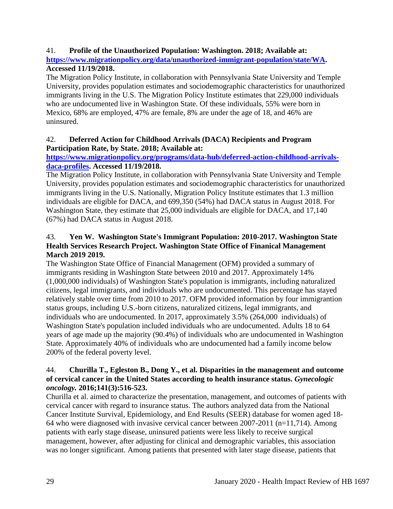# 41. **Profile of the Unauthorized Population: Washington. 2018; Available at:**

**[https://www.migrationpolicy.org/data/unauthorized-immigrant-population/state/WA.](https://www.migrationpolicy.org/data/unauthorized-immigrant-population/state/WA) Accessed 11/19/2018.**

The Migration Policy Institute, in collaboration with Pennsylvania State University and Temple University, provides population estimates and sociodemographic characteristics for unauthorized immigrants living in the U.S. The Migration Policy Institute estimates that 229,000 individuals who are undocumented live in Washington State. Of these individuals, 55% were born in Mexico, 68% are employed, 47% are female, 8% are under the age of 18, and 46% are uninsured.

# 42. **Deferred Action for Childhood Arrivals (DACA) Recipients and Program Participation Rate, by State. 2018; Available at:**

# **[https://www.migrationpolicy.org/programs/data-hub/deferred-action-childhood-arrivals](https://www.migrationpolicy.org/programs/data-hub/deferred-action-childhood-arrivals-daca-profiles)[daca-profiles.](https://www.migrationpolicy.org/programs/data-hub/deferred-action-childhood-arrivals-daca-profiles) Accessed 11/19/2018.**

The Migration Policy Institute, in collaboration with Pennsylvania State University and Temple University, provides population estimates and sociodemographic characteristics for unauthorized immigrants living in the U.S. Nationally, Migration Policy Institute estimates that 1.3 million individuals are eligible for DACA, and 699,350 (54%) had DACA status in August 2018. For Washington State, they estimate that 25,000 individuals are eligible for DACA, and 17,140 (67%) had DACA status in August 2018.

# 43. **Yen W. Washington State's Immigrant Population: 2010-2017. Washington State Health Services Research Project. Washington State Office of Finanical Management March 2019 2019.**

The Washington State Office of Financial Management (OFM) provided a summary of immigrants residing in Washington State between 2010 and 2017. Approximately 14% (1,000,000 individuals) of Washington State's population is immigrants, including naturalized citizens, legal immigrants, and individuals who are undocumented. This percentage has stayed relatively stable over time from 2010 to 2017. OFM provided information by four immigrantion status groups, including U.S.-born citizens, naturalized citizens, legal immigrants, and individuals who are undocumented. In 2017, approximately 3.5% (264,000 individuals) of Washington State's population included individuals who are undocumented. Adults 18 to 64 years of age made up the majority (90.4%) of individuals who are undocumented in Washington State. Approximately 40% of individuals who are undocumented had a family income below 200% of the federal poverty level.

### 44. **Churilla T., Egleston B., Dong Y., et al. Disparities in the management and outcome of cervical cancer in the United States according to health insurance status.** *Gynecologic oncology.* **2016;141(3):516-523.**

Churilla et al. aimed to characterize the presentation, management, and outcomes of patients with cervical cancer with regard to insurance status. The authors analyzed data from the National Cancer Institute Survival, Epidemiology, and End Results (SEER) database for women aged 18- 64 who were diagnosed with invasive cervical cancer between 2007-2011 (n=11,714). Among patients with early stage disease, uninsured patients were less likely to receive surgical management, however, after adjusting for clinical and demographic variables, this association was no longer significant. Among patients that presented with later stage disease, patients that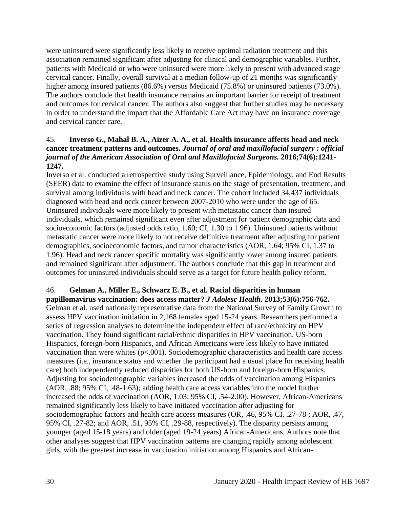were uninsured were significantly less likely to receive optimal radiation treatment and this association remained significant after adjusting for clinical and demographic variables. Further, patients with Medicaid or who were uninsured were more likely to present with advanced stage cervical cancer. Finally, overall survival at a median follow-up of 21 months was significantly higher among insured patients (86.6%) versus Medicaid (75.8%) or uninsured patients (73.0%). The authors conclude that health insurance remains an important barrier for receipt of treatment and outcomes for cervical cancer. The authors also suggest that further studies may be necessary in order to understand the impact that the Affordable Care Act may have on insurance coverage and cervical cancer care.

### 45. **Inverso G., Mahal B. A., Aizer A. A., et al. Health insurance affects head and neck cancer treatment patterns and outcomes.** *Journal of oral and maxillofacial surgery : official journal of the American Association of Oral and Maxillofacial Surgeons.* **2016;74(6):1241- 1247.**

Inverso et al. conducted a retrospective study using Surveillance, Epidemiology, and End Results (SEER) data to examine the effect of insurance status on the stage of presentation, treatment, and survival among individuals with head and neck cancer. The cohort included 34,437 individuals diagnosed with head and neck cancer between 2007-2010 who were under the age of 65. Uninsured individuals were more likely to present with metastatic cancer than insured individuals, which remained significant even after adjustment for patient demographic data and socioeconomic factors (adjusted odds ratio, 1.60; CI, 1.30 to 1.96). Uninsured patients without metastatic cancer were more likely to not receive definitive treatment after adjusting for patient demographics, socioeconomic factors, and tumor characteristics (AOR, 1.64; 95% CI, 1.37 to 1.96). Head and neck cancer specific mortality was significantly lower among insured patients and remained significant after adjustment. The authors conclude that this gap in treatment and outcomes for uninsured individuals should serve as a target for future health policy reform.

# 46. **Gelman A., Miller E., Schwarz E. B., et al. Racial disparities in human**

**papillomavirus vaccination: does access matter?** *J Adolesc Health.* **2013;53(6):756-762.** Gelman et al. used nationally representative data from the National Survey of Family Growth to assess HPV vaccination initiation in 2,168 females aged 15-24 years. Researchers performed a series of regression analyses to determine the independent effect of race/ethnicity on HPV vaccination. They found significant racial/ethnic disparities in HPV vaccination. US-born Hispanics, foreign-born Hispanics, and African Americans were less likely to have initiated vaccination than were whites  $(p<.001)$ . Sociodemographic characteristics and health care access measures (i.e., insurance status and whether the participant had a usual place for receiving health care) both independently reduced disparities for both US-born and foreign-born Hispanics. Adjusting for sociodemographic variables increased the odds of vaccination among Hispanics (AOR, .88; 95% CI, .48-1.63); adding health care access variables into the model further increased the odds of vaccination (AOR, 1.03; 95% CI, .54-2.00). However, African-Americans remained significantly less likely to have initiated vaccination after adjusting for sociodemographic factors and health care access measures (OR, .46, 95% CI, .27-78 ; AOR, .47, 95% CI, .27-82; and AOR, .51, 95% CI, .29-88, respectively). The disparity persists among younger (aged 15-18 years) and older (aged 19-24 years) African-Americans. Authors note that other analyses suggest that HPV vaccination patterns are changing rapidly among adolescent girls, with the greatest increase in vaccination initiation among Hispanics and African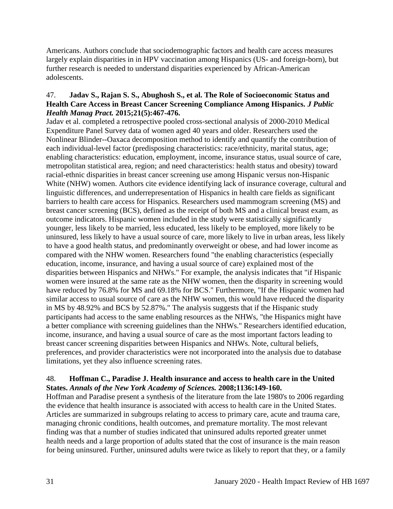Americans. Authors conclude that sociodemographic factors and health care access measures largely explain disparities in in HPV vaccination among Hispanics (US- and foreign-born), but further research is needed to understand disparities experienced by African-American adolescents.

### 47. **Jadav S., Rajan S. S., Abughosh S., et al. The Role of Socioeconomic Status and Health Care Access in Breast Cancer Screening Compliance Among Hispanics.** *J Public Health Manag Pract.* **2015;21(5):467-476.**

Jadav et al. completed a retrospective pooled cross-sectional analysis of 2000-2010 Medical Expenditure Panel Survey data of women aged 40 years and older. Researchers used the Nonlinear Blinder--Oaxaca decomposition method to identify and quantify the contribution of each individual-level factor (predisposing characteristics: race/ethnicity, marital status, age; enabling characteristics: education, employment, income, insurance status, usual source of care, metropolitan statistical area, region; and need characteristics: health status and obesity) toward racial-ethnic disparities in breast cancer screening use among Hispanic versus non-Hispanic White (NHW) women. Authors cite evidence identifying lack of insurance coverage, cultural and linguistic differences, and underrepresentation of Hispanics in health care fields as significant barriers to health care access for Hispanics. Researchers used mammogram screening (MS) and breast cancer screening (BCS), defined as the receipt of both MS and a clinical breast exam, as outcome indicators. Hispanic women included in the study were statistically significantly younger, less likely to be married, less educated, less likely to be employed, more likely to be uninsured, less likely to have a usual source of care, more likely to live in urban areas, less likely to have a good health status, and predominantly overweight or obese, and had lower income as compared with the NHW women. Researchers found "the enabling characteristics (especially education, income, insurance, and having a usual source of care) explained most of the disparities between Hispanics and NHWs." For example, the analysis indicates that "if Hispanic women were insured at the same rate as the NHW women, then the disparity in screening would have reduced by 76.8% for MS and 69.18% for BCS." Furthermore, "If the Hispanic women had similar access to usual source of care as the NHW women, this would have reduced the disparity in MS by 48.92% and BCS by 52.87%." The analysis suggests that if the Hispanic study participants had access to the same enabling resources as the NHWs, "the Hispanics might have a better compliance with screening guidelines than the NHWs." Researchers identified education, income, insurance, and having a usual source of care as the most important factors leading to breast cancer screening disparities between Hispanics and NHWs. Note, cultural beliefs, preferences, and provider characteristics were not incorporated into the analysis due to database limitations, yet they also influence screening rates.

### 48. **Hoffman C., Paradise J. Health insurance and access to health care in the United States.** *Annals of the New York Academy of Sciences.* **2008;1136:149-160.**

Hoffman and Paradise present a synthesis of the literature from the late 1980's to 2006 regarding the evidence that health insurance is associated with access to health care in the United States. Articles are summarized in subgroups relating to access to primary care, acute and trauma care, managing chronic conditions, health outcomes, and premature mortality. The most relevant finding was that a number of studies indicated that uninsured adults reported greater unmet health needs and a large proportion of adults stated that the cost of insurance is the main reason for being uninsured. Further, uninsured adults were twice as likely to report that they, or a family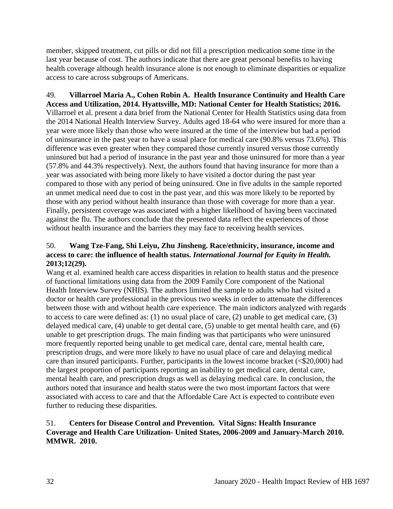member, skipped treatment, cut pills or did not fill a prescription medication some time in the last year because of cost. The authors indicate that there are great personal benefits to having health coverage although health insurance alone is not enough to eliminate disparities or equalize access to care across subgroups of Americans.

49. **Villarroel Maria A., Cohen Robin A. Health Insurance Continuity and Health Care Access and Utilization, 2014. Hyattsville, MD: National Center for Health Statistics; 2016.** Villarroel et al. present a data brief from the National Center for Health Statistics using data from the 2014 National Health Interview Survey. Adults aged 18-64 who were insured for more than a year were more likely than those who were insured at the time of the interview but had a period of uninsurance in the past year to have a usual place for medical care (90.8% versus 73.6%). This difference was even greater when they compared those currently insured versus those currently uninsured but had a period of insurance in the past year and those uninsured for more than a year (57.8% and 44.3% respectively). Next, the authors found that having insurance for more than a year was associated with being more likely to have visited a doctor during the past year compared to those with any period of being uninsured. One in five adults in the sample reported an unmet medical need due to cost in the past year, and this was more likely to be reported by those with any period without health insurance than those with coverage for more than a year. Finally, persistent coverage was associated with a higher likelihood of having been vaccinated against the flu. The authors conclude that the presented data reflect the experiences of those without health insurance and the barriers they may face to receiving health services.

# 50. **Wang Tze-Fang, Shi Leiyu, Zhu Jinsheng. Race/ethnicity, insurance, income and access to care: the influence of health status.** *International Journal for Equity in Health.*  **2013;12(29).**

Wang et al. examined health care access disparities in relation to health status and the presence of functional limitations using data from the 2009 Family Core component of the National Health Interview Survey (NHIS). The authors limited the sample to adults who had visited a doctor or health care professional in the previous two weeks in order to attenuate the differences between those with and without health care experience. The main indictors analyzed with regards to access to care were defined as: (1) no usual place of care, (2) unable to get medical care, (3) delayed medical care, (4) unable to get dental care, (5) unable to get mental health care, and (6) unable to get prescription drugs. The main finding was that participants who were uninsured more frequently reported being unable to get medical care, dental care, mental health care, prescription drugs, and were more likely to have no usual place of care and delaying medical care than insured participants. Further, participants in the lowest income bracket ( $\leq 20,000$ ) had the largest proportion of participants reporting an inability to get medical care, dental care, mental health care, and prescription drugs as well as delaying medical care. In conclusion, the authors noted that insurance and health status were the two most important factors that were associated with access to care and that the Affordable Care Act is expected to contribute even further to reducing these disparities.

### 51. **Centers for Disease Control and Prevention. Vital Signs: Health Insurance Coverage and Health Care Utilization- United States, 2006-2009 and January-March 2010. MMWR. 2010.**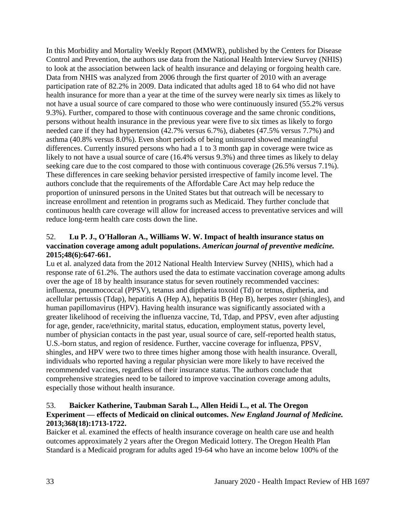In this Morbidity and Mortality Weekly Report (MMWR), published by the Centers for Disease Control and Prevention, the authors use data from the National Health Interview Survey (NHIS) to look at the association between lack of health insurance and delaying or forgoing health care. Data from NHIS was analyzed from 2006 through the first quarter of 2010 with an average participation rate of 82.2% in 2009. Data indicated that adults aged 18 to 64 who did not have health insurance for more than a year at the time of the survey were nearly six times as likely to not have a usual source of care compared to those who were continuously insured (55.2% versus 9.3%). Further, compared to those with continuous coverage and the same chronic conditions, persons without health insurance in the previous year were five to six times as likely to forgo needed care if they had hypertension (42.7% versus 6.7%), diabetes (47.5% versus 7.7%) and asthma (40.8% versus 8.0%). Even short periods of being uninsured showed meaningful differences. Currently insured persons who had a 1 to 3 month gap in coverage were twice as likely to not have a usual source of care (16.4% versus 9.3%) and three times as likely to delay seeking care due to the cost compared to those with continuous coverage (26.5% versus 7.1%). These differences in care seeking behavior persisted irrespective of family income level. The authors conclude that the requirements of the Affordable Care Act may help reduce the proportion of uninsured persons in the United States but that outreach will be necessary to increase enrollment and retention in programs such as Medicaid. They further conclude that continuous health care coverage will allow for increased access to preventative services and will reduce long-term health care costs down the line.

# 52. **Lu P. J., O'Halloran A., Williams W. W. Impact of health insurance status on vaccination coverage among adult populations.** *American journal of preventive medicine.*  **2015;48(6):647-661.**

Lu et al. analyzed data from the 2012 National Health Interview Survey (NHIS), which had a response rate of 61.2%. The authors used the data to estimate vaccination coverage among adults over the age of 18 by health insurance status for seven routinely recommended vaccines: influenza, pneumococcal (PPSV), tetanus and diptheria toxoid (Td) or tetnus, diptheria, and acellular pertussis (Tdap), hepatitis A (Hep A), hepatitis B (Hep B), herpes zoster (shingles), and human papillomavirus (HPV). Having health insurance was significantly associated with a greater likelihood of receiving the influenza vaccine, Td, Tdap, and PPSV, even after adjusting for age, gender, race/ethnicity, marital status, education, employment status, poverty level, number of physician contacts in the past year, usual source of care, self-reported health status, U.S.-born status, and region of residence. Further, vaccine coverage for influenza, PPSV, shingles, and HPV were two to three times higher among those with health insurance. Overall, individuals who reported having a regular physician were more likely to have received the recommended vaccines, regardless of their insurance status. The authors conclude that comprehensive strategies need to be tailored to improve vaccination coverage among adults, especially those without health insurance.

# 53. **Baicker Katherine, Taubman Sarah L., Allen Heidi L., et al. The Oregon Experiment — effects of Medicaid on clinical outcomes.** *New England Journal of Medicine.*  **2013;368(18):1713-1722.**

Baicker et al. examined the effects of health insurance coverage on health care use and health outcomes approximately 2 years after the Oregon Medicaid lottery. The Oregon Health Plan Standard is a Medicaid program for adults aged 19-64 who have an income below 100% of the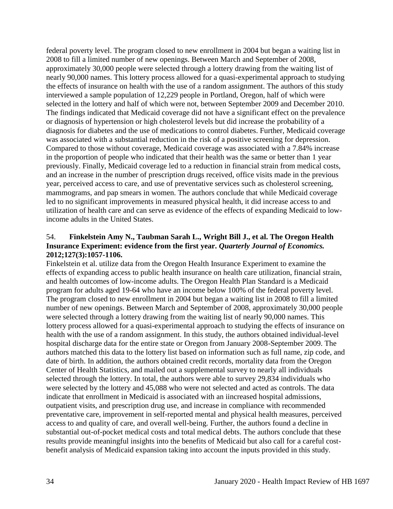federal poverty level. The program closed to new enrollment in 2004 but began a waiting list in 2008 to fill a limited number of new openings. Between March and September of 2008, approximately 30,000 people were selected through a lottery drawing from the waiting list of nearly 90,000 names. This lottery process allowed for a quasi-experimental approach to studying the effects of insurance on health with the use of a random assignment. The authors of this study interviewed a sample population of 12,229 people in Portland, Oregon, half of which were selected in the lottery and half of which were not, between September 2009 and December 2010. The findings indicated that Medicaid coverage did not have a significant effect on the prevalence or diagnosis of hypertension or high cholesterol levels but did increase the probability of a diagnosis for diabetes and the use of medications to control diabetes. Further, Medicaid coverage was associated with a substantial reduction in the risk of a positive screening for depression. Compared to those without coverage, Medicaid coverage was associated with a 7.84% increase in the proportion of people who indicated that their health was the same or better than 1 year previously. Finally, Medicaid coverage led to a reduction in financial strain from medical costs, and an increase in the number of prescription drugs received, office visits made in the previous year, perceived access to care, and use of preventative services such as cholesterol screening, mammograms, and pap smears in women. The authors conclude that while Medicaid coverage led to no significant improvements in measured physical health, it did increase access to and utilization of health care and can serve as evidence of the effects of expanding Medicaid to lowincome adults in the United States.

# 54. **Finkelstein Amy N., Taubman Sarah L., Wright Bill J., et al. The Oregon Health Insurance Experiment: evidence from the first year.** *Quarterly Journal of Economics.*  **2012;127(3):1057-1106.**

Finkelstein et al. utilize data from the Oregon Health Insurance Experiment to examine the effects of expanding access to public health insurance on health care utilization, financial strain, and health outcomes of low-income adults. The Oregon Health Plan Standard is a Medicaid program for adults aged 19-64 who have an income below 100% of the federal poverty level. The program closed to new enrollment in 2004 but began a waiting list in 2008 to fill a limited number of new openings. Between March and September of 2008, approximately 30,000 people were selected through a lottery drawing from the waiting list of nearly 90,000 names. This lottery process allowed for a quasi-experimental approach to studying the effects of insurance on health with the use of a random assignment. In this study, the authors obtained individual-level hospital discharge data for the entire state or Oregon from January 2008-September 2009. The authors matched this data to the lottery list based on information such as full name, zip code, and date of birth. In addition, the authors obtained credit records, mortality data from the Oregon Center of Health Statistics, and mailed out a supplemental survey to nearly all individuals selected through the lottery. In total, the authors were able to survey 29,834 individuals who were selected by the lottery and 45,088 who were not selected and acted as controls. The data indicate that enrollment in Medicaid is associated with an iincreased hospital admissions, outpatient visits, and prescription drug use, and increase in compliance with recommended preventative care, improvement in self-reported mental and physical health measures, perceived access to and quality of care, and overall well-being. Further, the authors found a decline in substantial out-of-pocket medical costs and total medical debts. The authors conclude that these results provide meaningful insights into the benefits of Medicaid but also call for a careful costbenefit analysis of Medicaid expansion taking into account the inputs provided in this study.